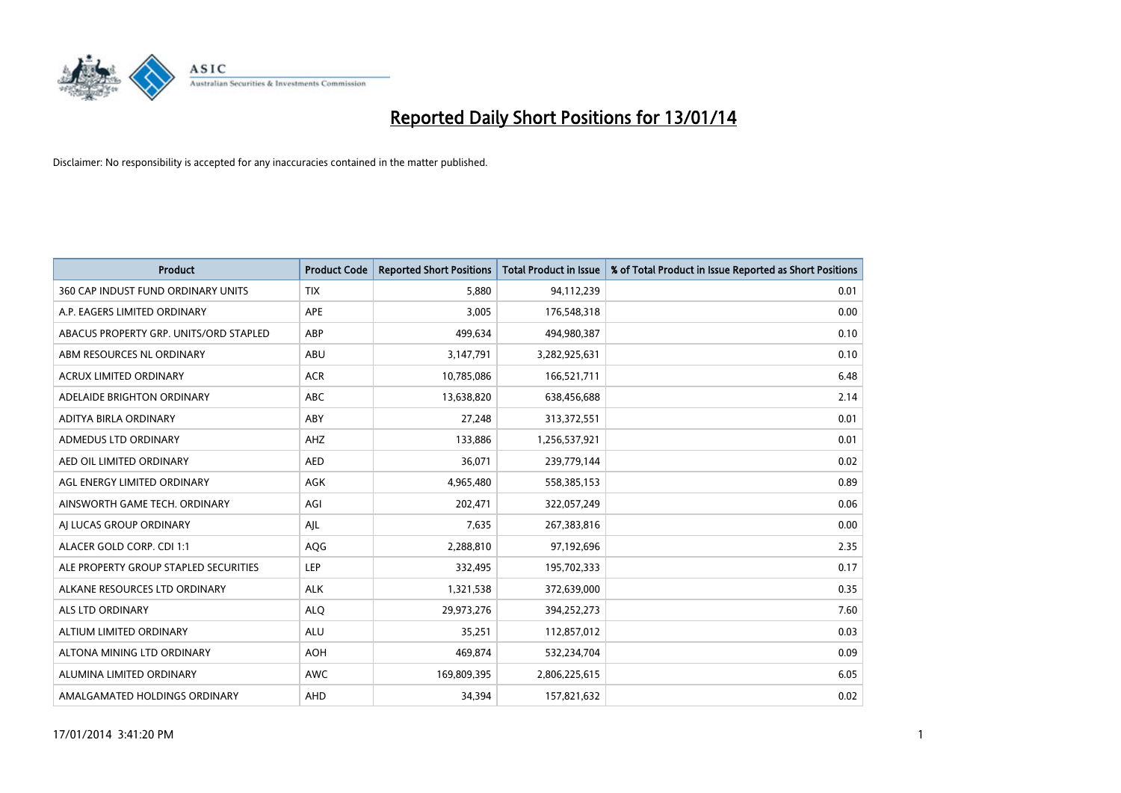

| <b>Product</b>                         | <b>Product Code</b> | <b>Reported Short Positions</b> | Total Product in Issue | % of Total Product in Issue Reported as Short Positions |
|----------------------------------------|---------------------|---------------------------------|------------------------|---------------------------------------------------------|
| 360 CAP INDUST FUND ORDINARY UNITS     | <b>TIX</b>          | 5.880                           | 94,112,239             | 0.01                                                    |
| A.P. EAGERS LIMITED ORDINARY           | <b>APE</b>          | 3,005                           | 176,548,318            | 0.00                                                    |
| ABACUS PROPERTY GRP. UNITS/ORD STAPLED | ABP                 | 499,634                         | 494,980,387            | 0.10                                                    |
| ABM RESOURCES NL ORDINARY              | ABU                 | 3,147,791                       | 3,282,925,631          | 0.10                                                    |
| <b>ACRUX LIMITED ORDINARY</b>          | <b>ACR</b>          | 10,785,086                      | 166,521,711            | 6.48                                                    |
| ADELAIDE BRIGHTON ORDINARY             | <b>ABC</b>          | 13,638,820                      | 638,456,688            | 2.14                                                    |
| ADITYA BIRLA ORDINARY                  | ABY                 | 27,248                          | 313,372,551            | 0.01                                                    |
| <b>ADMEDUS LTD ORDINARY</b>            | AHZ                 | 133,886                         | 1,256,537,921          | 0.01                                                    |
| AED OIL LIMITED ORDINARY               | <b>AED</b>          | 36,071                          | 239,779,144            | 0.02                                                    |
| AGL ENERGY LIMITED ORDINARY            | <b>AGK</b>          | 4,965,480                       | 558,385,153            | 0.89                                                    |
| AINSWORTH GAME TECH. ORDINARY          | AGI                 | 202,471                         | 322,057,249            | 0.06                                                    |
| AI LUCAS GROUP ORDINARY                | AJL                 | 7,635                           | 267,383,816            | 0.00                                                    |
| ALACER GOLD CORP. CDI 1:1              | AQG                 | 2,288,810                       | 97,192,696             | 2.35                                                    |
| ALE PROPERTY GROUP STAPLED SECURITIES  | <b>LEP</b>          | 332,495                         | 195,702,333            | 0.17                                                    |
| ALKANE RESOURCES LTD ORDINARY          | <b>ALK</b>          | 1,321,538                       | 372,639,000            | 0.35                                                    |
| ALS LTD ORDINARY                       | <b>ALQ</b>          | 29,973,276                      | 394,252,273            | 7.60                                                    |
| ALTIUM LIMITED ORDINARY                | ALU                 | 35,251                          | 112,857,012            | 0.03                                                    |
| ALTONA MINING LTD ORDINARY             | <b>AOH</b>          | 469,874                         | 532,234,704            | 0.09                                                    |
| ALUMINA LIMITED ORDINARY               | <b>AWC</b>          | 169,809,395                     | 2,806,225,615          | 6.05                                                    |
| AMALGAMATED HOLDINGS ORDINARY          | AHD                 | 34,394                          | 157,821,632            | 0.02                                                    |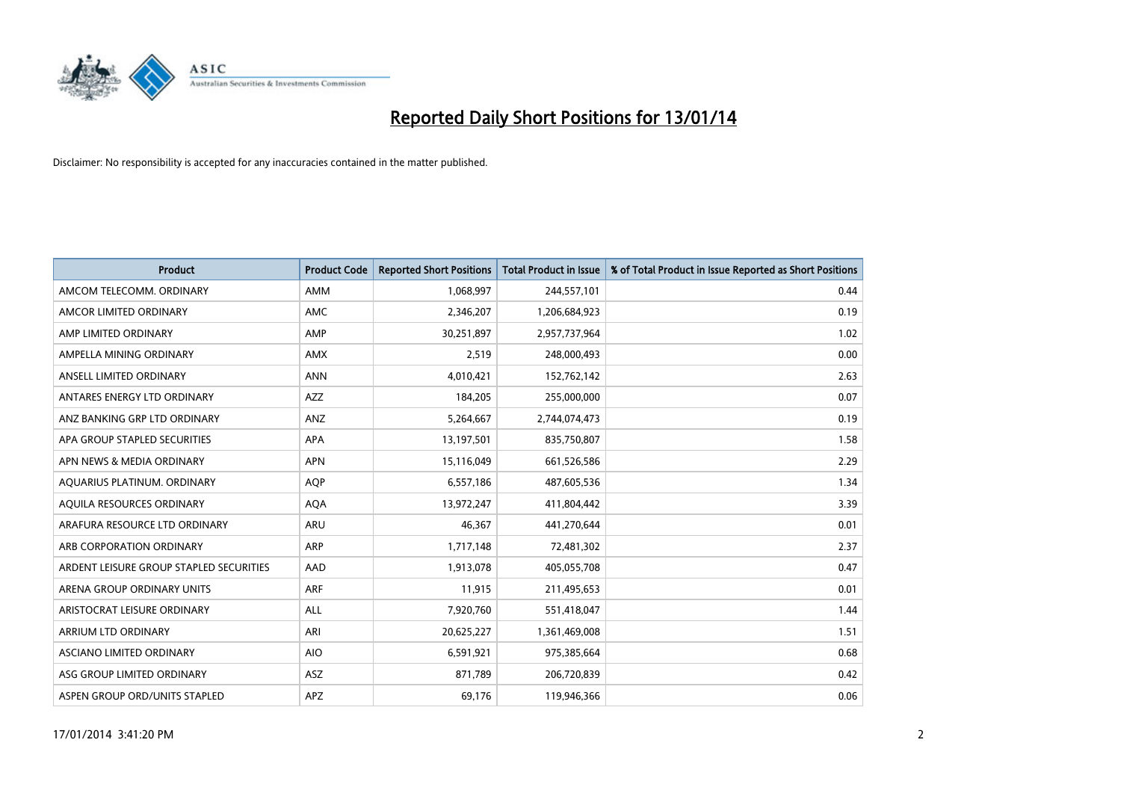

| <b>Product</b>                          | <b>Product Code</b> | <b>Reported Short Positions</b> | <b>Total Product in Issue</b> | % of Total Product in Issue Reported as Short Positions |
|-----------------------------------------|---------------------|---------------------------------|-------------------------------|---------------------------------------------------------|
| AMCOM TELECOMM, ORDINARY                | <b>AMM</b>          | 1,068,997                       | 244,557,101                   | 0.44                                                    |
| AMCOR LIMITED ORDINARY                  | AMC                 | 2,346,207                       | 1,206,684,923                 | 0.19                                                    |
| AMP LIMITED ORDINARY                    | AMP                 | 30,251,897                      | 2,957,737,964                 | 1.02                                                    |
| AMPELLA MINING ORDINARY                 | <b>AMX</b>          | 2,519                           | 248,000,493                   | 0.00                                                    |
| ANSELL LIMITED ORDINARY                 | <b>ANN</b>          | 4,010,421                       | 152,762,142                   | 2.63                                                    |
| ANTARES ENERGY LTD ORDINARY             | <b>AZZ</b>          | 184,205                         | 255,000,000                   | 0.07                                                    |
| ANZ BANKING GRP LTD ORDINARY            | <b>ANZ</b>          | 5,264,667                       | 2,744,074,473                 | 0.19                                                    |
| APA GROUP STAPLED SECURITIES            | APA                 | 13,197,501                      | 835,750,807                   | 1.58                                                    |
| APN NEWS & MEDIA ORDINARY               | <b>APN</b>          | 15,116,049                      | 661,526,586                   | 2.29                                                    |
| AQUARIUS PLATINUM. ORDINARY             | <b>AOP</b>          | 6,557,186                       | 487,605,536                   | 1.34                                                    |
| AQUILA RESOURCES ORDINARY               | <b>AQA</b>          | 13,972,247                      | 411,804,442                   | 3.39                                                    |
| ARAFURA RESOURCE LTD ORDINARY           | ARU                 | 46,367                          | 441,270,644                   | 0.01                                                    |
| ARB CORPORATION ORDINARY                | <b>ARP</b>          | 1,717,148                       | 72,481,302                    | 2.37                                                    |
| ARDENT LEISURE GROUP STAPLED SECURITIES | AAD                 | 1,913,078                       | 405,055,708                   | 0.47                                                    |
| ARENA GROUP ORDINARY UNITS              | <b>ARF</b>          | 11,915                          | 211,495,653                   | 0.01                                                    |
| ARISTOCRAT LEISURE ORDINARY             | ALL                 | 7,920,760                       | 551,418,047                   | 1.44                                                    |
| ARRIUM LTD ORDINARY                     | ARI                 | 20,625,227                      | 1,361,469,008                 | 1.51                                                    |
| ASCIANO LIMITED ORDINARY                | <b>AIO</b>          | 6,591,921                       | 975,385,664                   | 0.68                                                    |
| ASG GROUP LIMITED ORDINARY              | <b>ASZ</b>          | 871,789                         | 206,720,839                   | 0.42                                                    |
| ASPEN GROUP ORD/UNITS STAPLED           | APZ                 | 69,176                          | 119,946,366                   | 0.06                                                    |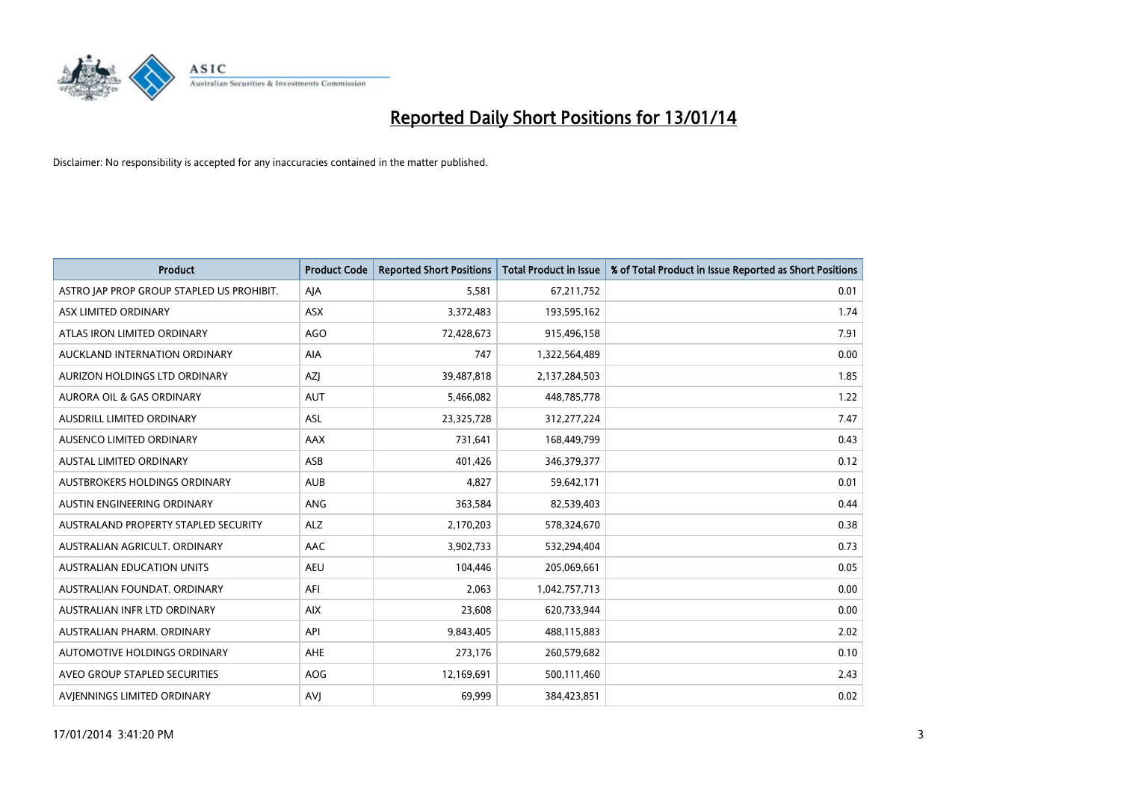

| <b>Product</b>                            | <b>Product Code</b> | <b>Reported Short Positions</b> | <b>Total Product in Issue</b> | % of Total Product in Issue Reported as Short Positions |
|-------------------------------------------|---------------------|---------------------------------|-------------------------------|---------------------------------------------------------|
| ASTRO JAP PROP GROUP STAPLED US PROHIBIT. | AJA                 | 5,581                           | 67,211,752                    | 0.01                                                    |
| ASX LIMITED ORDINARY                      | ASX                 | 3,372,483                       | 193,595,162                   | 1.74                                                    |
| ATLAS IRON LIMITED ORDINARY               | <b>AGO</b>          | 72,428,673                      | 915,496,158                   | 7.91                                                    |
| AUCKLAND INTERNATION ORDINARY             | <b>AIA</b>          | 747                             | 1,322,564,489                 | 0.00                                                    |
| AURIZON HOLDINGS LTD ORDINARY             | AZJ                 | 39,487,818                      | 2,137,284,503                 | 1.85                                                    |
| AURORA OIL & GAS ORDINARY                 | <b>AUT</b>          | 5,466,082                       | 448,785,778                   | 1.22                                                    |
| AUSDRILL LIMITED ORDINARY                 | <b>ASL</b>          | 23,325,728                      | 312,277,224                   | 7.47                                                    |
| AUSENCO LIMITED ORDINARY                  | AAX                 | 731,641                         | 168,449,799                   | 0.43                                                    |
| AUSTAL LIMITED ORDINARY                   | ASB                 | 401,426                         | 346,379,377                   | 0.12                                                    |
| AUSTBROKERS HOLDINGS ORDINARY             | <b>AUB</b>          | 4,827                           | 59,642,171                    | 0.01                                                    |
| AUSTIN ENGINEERING ORDINARY               | ANG                 | 363,584                         | 82,539,403                    | 0.44                                                    |
| AUSTRALAND PROPERTY STAPLED SECURITY      | <b>ALZ</b>          | 2,170,203                       | 578,324,670                   | 0.38                                                    |
| AUSTRALIAN AGRICULT. ORDINARY             | AAC                 | 3,902,733                       | 532,294,404                   | 0.73                                                    |
| <b>AUSTRALIAN EDUCATION UNITS</b>         | <b>AEU</b>          | 104,446                         | 205,069,661                   | 0.05                                                    |
| AUSTRALIAN FOUNDAT, ORDINARY              | AFI                 | 2,063                           | 1,042,757,713                 | 0.00                                                    |
| AUSTRALIAN INFR LTD ORDINARY              | <b>AIX</b>          | 23,608                          | 620,733,944                   | 0.00                                                    |
| AUSTRALIAN PHARM, ORDINARY                | API                 | 9,843,405                       | 488,115,883                   | 2.02                                                    |
| AUTOMOTIVE HOLDINGS ORDINARY              | AHE                 | 273,176                         | 260,579,682                   | 0.10                                                    |
| AVEO GROUP STAPLED SECURITIES             | <b>AOG</b>          | 12,169,691                      | 500,111,460                   | 2.43                                                    |
| AVIENNINGS LIMITED ORDINARY               | <b>AVJ</b>          | 69,999                          | 384,423,851                   | 0.02                                                    |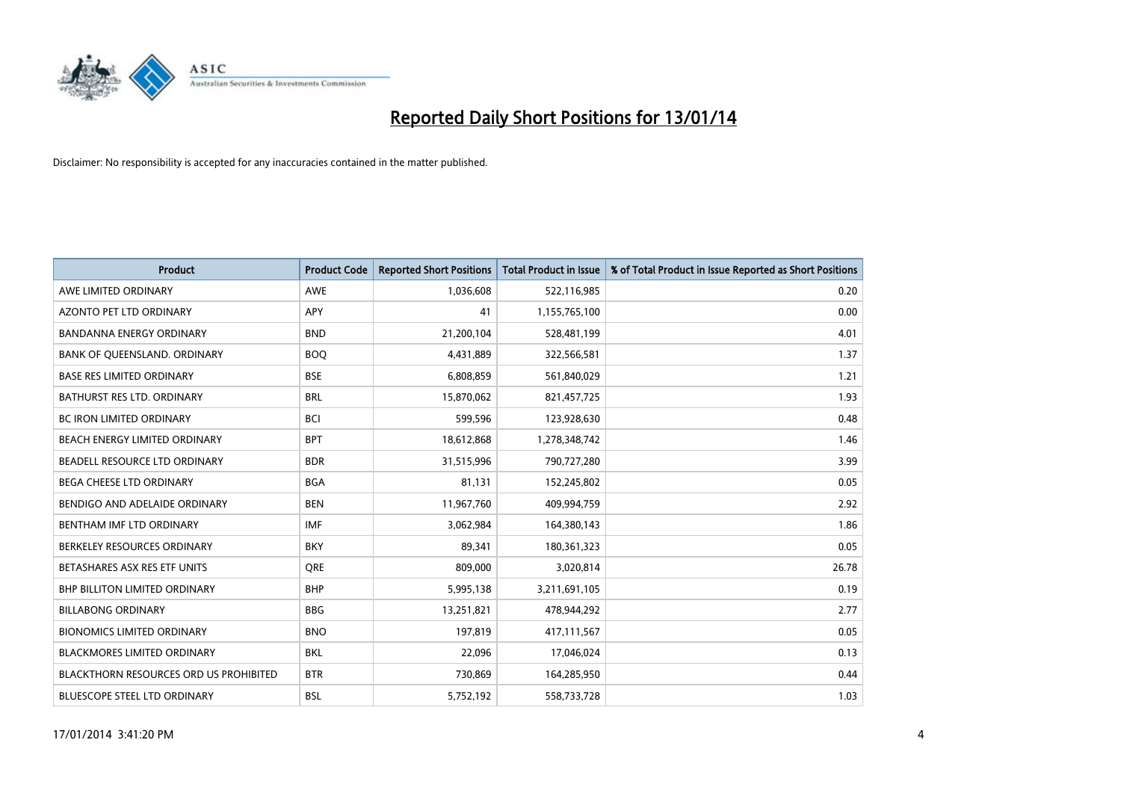

| <b>Product</b>                                | <b>Product Code</b> | <b>Reported Short Positions</b> | <b>Total Product in Issue</b> | % of Total Product in Issue Reported as Short Positions |
|-----------------------------------------------|---------------------|---------------------------------|-------------------------------|---------------------------------------------------------|
| AWE LIMITED ORDINARY                          | <b>AWE</b>          | 1,036,608                       | 522,116,985                   | 0.20                                                    |
| AZONTO PET LTD ORDINARY                       | APY                 | 41                              | 1,155,765,100                 | 0.00                                                    |
| <b>BANDANNA ENERGY ORDINARY</b>               | <b>BND</b>          | 21,200,104                      | 528,481,199                   | 4.01                                                    |
| BANK OF QUEENSLAND. ORDINARY                  | <b>BOQ</b>          | 4,431,889                       | 322,566,581                   | 1.37                                                    |
| <b>BASE RES LIMITED ORDINARY</b>              | <b>BSE</b>          | 6,808,859                       | 561,840,029                   | 1.21                                                    |
| <b>BATHURST RES LTD. ORDINARY</b>             | <b>BRL</b>          | 15,870,062                      | 821,457,725                   | 1.93                                                    |
| <b>BC IRON LIMITED ORDINARY</b>               | <b>BCI</b>          | 599,596                         | 123,928,630                   | 0.48                                                    |
| BEACH ENERGY LIMITED ORDINARY                 | <b>BPT</b>          | 18,612,868                      | 1,278,348,742                 | 1.46                                                    |
| BEADELL RESOURCE LTD ORDINARY                 | <b>BDR</b>          | 31,515,996                      | 790,727,280                   | 3.99                                                    |
| <b>BEGA CHEESE LTD ORDINARY</b>               | <b>BGA</b>          | 81,131                          | 152,245,802                   | 0.05                                                    |
| BENDIGO AND ADELAIDE ORDINARY                 | <b>BEN</b>          | 11,967,760                      | 409,994,759                   | 2.92                                                    |
| BENTHAM IMF LTD ORDINARY                      | <b>IMF</b>          | 3,062,984                       | 164,380,143                   | 1.86                                                    |
| BERKELEY RESOURCES ORDINARY                   | <b>BKY</b>          | 89,341                          | 180,361,323                   | 0.05                                                    |
| BETASHARES ASX RES ETF UNITS                  | <b>ORE</b>          | 809,000                         | 3,020,814                     | 26.78                                                   |
| <b>BHP BILLITON LIMITED ORDINARY</b>          | <b>BHP</b>          | 5,995,138                       | 3,211,691,105                 | 0.19                                                    |
| <b>BILLABONG ORDINARY</b>                     | <b>BBG</b>          | 13,251,821                      | 478,944,292                   | 2.77                                                    |
| <b>BIONOMICS LIMITED ORDINARY</b>             | <b>BNO</b>          | 197,819                         | 417,111,567                   | 0.05                                                    |
| <b>BLACKMORES LIMITED ORDINARY</b>            | <b>BKL</b>          | 22,096                          | 17,046,024                    | 0.13                                                    |
| <b>BLACKTHORN RESOURCES ORD US PROHIBITED</b> | <b>BTR</b>          | 730,869                         | 164,285,950                   | 0.44                                                    |
| BLUESCOPE STEEL LTD ORDINARY                  | <b>BSL</b>          | 5,752,192                       | 558,733,728                   | 1.03                                                    |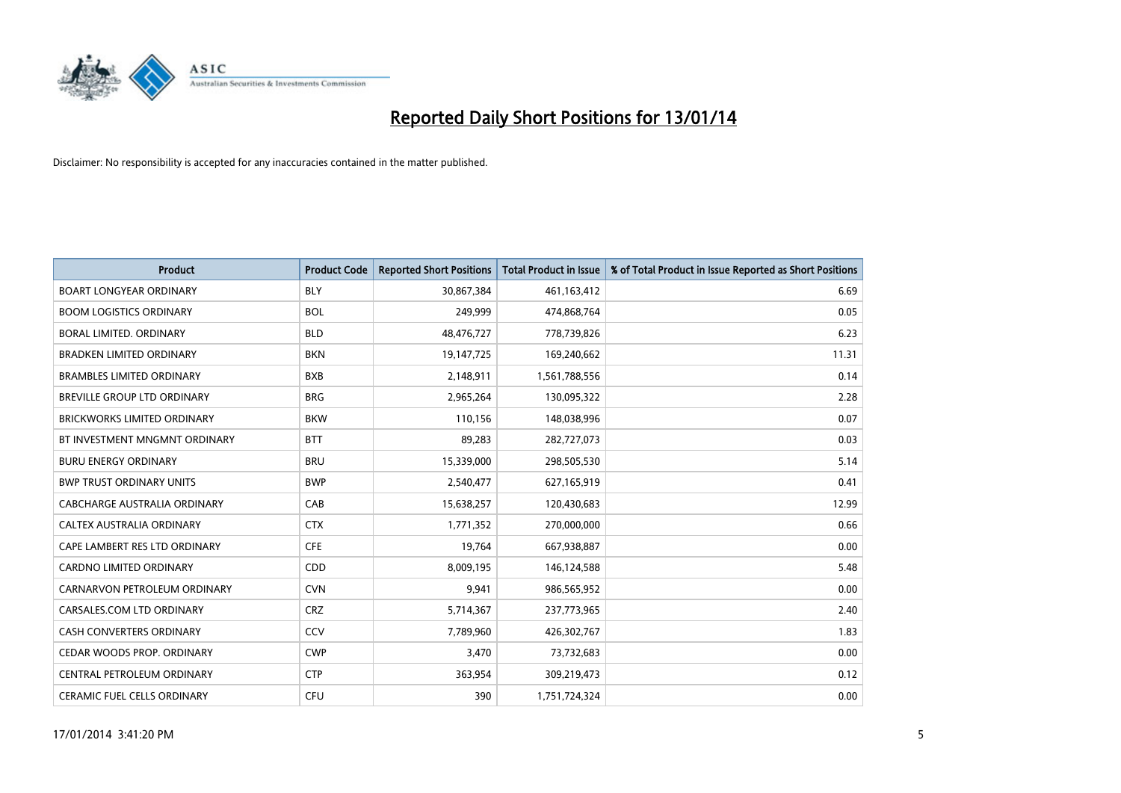

| <b>Product</b>                     | <b>Product Code</b> | <b>Reported Short Positions</b> | <b>Total Product in Issue</b> | % of Total Product in Issue Reported as Short Positions |
|------------------------------------|---------------------|---------------------------------|-------------------------------|---------------------------------------------------------|
| <b>BOART LONGYEAR ORDINARY</b>     | <b>BLY</b>          | 30,867,384                      | 461,163,412                   | 6.69                                                    |
| <b>BOOM LOGISTICS ORDINARY</b>     | <b>BOL</b>          | 249,999                         | 474,868,764                   | 0.05                                                    |
| BORAL LIMITED, ORDINARY            | <b>BLD</b>          | 48,476,727                      | 778,739,826                   | 6.23                                                    |
| <b>BRADKEN LIMITED ORDINARY</b>    | <b>BKN</b>          | 19,147,725                      | 169,240,662                   | 11.31                                                   |
| <b>BRAMBLES LIMITED ORDINARY</b>   | <b>BXB</b>          | 2,148,911                       | 1,561,788,556                 | 0.14                                                    |
| BREVILLE GROUP LTD ORDINARY        | <b>BRG</b>          | 2,965,264                       | 130,095,322                   | 2.28                                                    |
| <b>BRICKWORKS LIMITED ORDINARY</b> | <b>BKW</b>          | 110.156                         | 148,038,996                   | 0.07                                                    |
| BT INVESTMENT MNGMNT ORDINARY      | <b>BTT</b>          | 89,283                          | 282,727,073                   | 0.03                                                    |
| <b>BURU ENERGY ORDINARY</b>        | <b>BRU</b>          | 15,339,000                      | 298,505,530                   | 5.14                                                    |
| <b>BWP TRUST ORDINARY UNITS</b>    | <b>BWP</b>          | 2,540,477                       | 627,165,919                   | 0.41                                                    |
| CABCHARGE AUSTRALIA ORDINARY       | CAB                 | 15,638,257                      | 120,430,683                   | 12.99                                                   |
| <b>CALTEX AUSTRALIA ORDINARY</b>   | <b>CTX</b>          | 1,771,352                       | 270,000,000                   | 0.66                                                    |
| CAPE LAMBERT RES LTD ORDINARY      | <b>CFE</b>          | 19,764                          | 667,938,887                   | 0.00                                                    |
| <b>CARDNO LIMITED ORDINARY</b>     | CDD                 | 8,009,195                       | 146,124,588                   | 5.48                                                    |
| CARNARVON PETROLEUM ORDINARY       | <b>CVN</b>          | 9,941                           | 986,565,952                   | 0.00                                                    |
| CARSALES.COM LTD ORDINARY          | <b>CRZ</b>          | 5,714,367                       | 237,773,965                   | 2.40                                                    |
| <b>CASH CONVERTERS ORDINARY</b>    | CCV                 | 7,789,960                       | 426,302,767                   | 1.83                                                    |
| CEDAR WOODS PROP. ORDINARY         | <b>CWP</b>          | 3,470                           | 73,732,683                    | 0.00                                                    |
| CENTRAL PETROLEUM ORDINARY         | <b>CTP</b>          | 363,954                         | 309,219,473                   | 0.12                                                    |
| <b>CERAMIC FUEL CELLS ORDINARY</b> | <b>CFU</b>          | 390                             | 1,751,724,324                 | 0.00                                                    |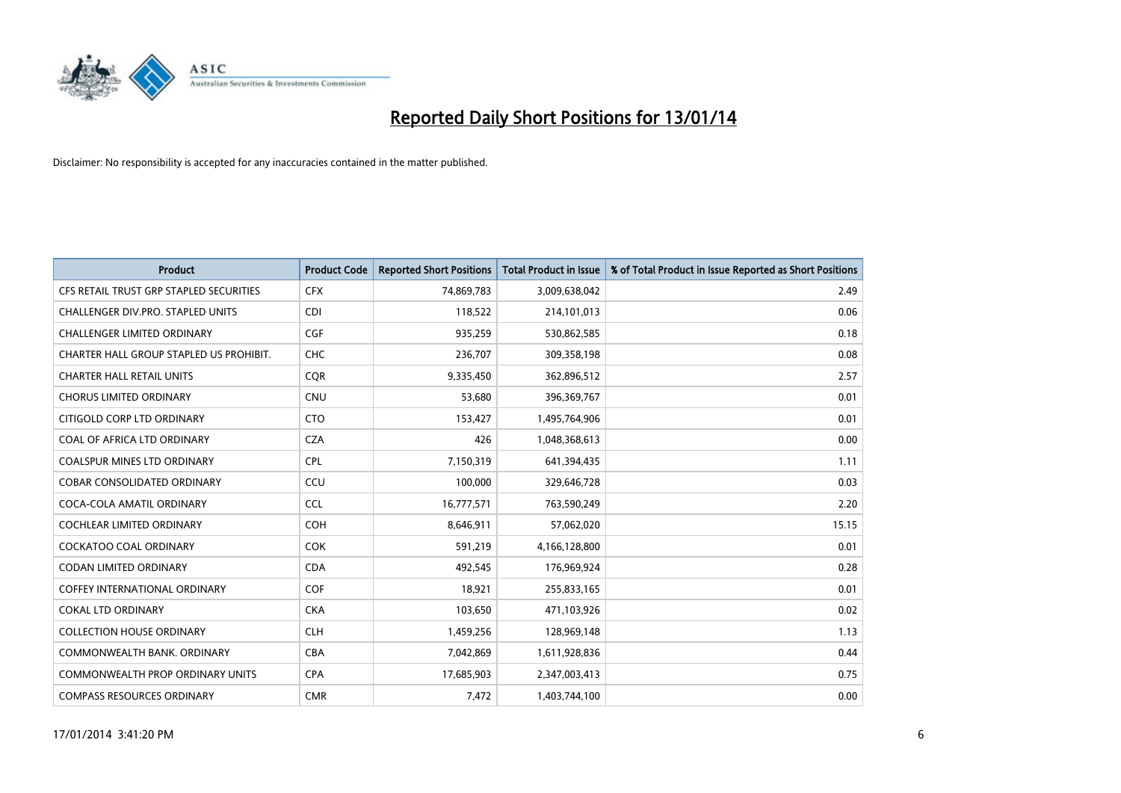

| <b>Product</b>                          | <b>Product Code</b> | <b>Reported Short Positions</b> | <b>Total Product in Issue</b> | % of Total Product in Issue Reported as Short Positions |
|-----------------------------------------|---------------------|---------------------------------|-------------------------------|---------------------------------------------------------|
| CFS RETAIL TRUST GRP STAPLED SECURITIES | <b>CFX</b>          | 74,869,783                      | 3,009,638,042                 | 2.49                                                    |
| CHALLENGER DIV.PRO. STAPLED UNITS       | <b>CDI</b>          | 118,522                         | 214,101,013                   | 0.06                                                    |
| <b>CHALLENGER LIMITED ORDINARY</b>      | <b>CGF</b>          | 935,259                         | 530,862,585                   | 0.18                                                    |
| CHARTER HALL GROUP STAPLED US PROHIBIT. | <b>CHC</b>          | 236,707                         | 309,358,198                   | 0.08                                                    |
| <b>CHARTER HALL RETAIL UNITS</b>        | <b>COR</b>          | 9,335,450                       | 362,896,512                   | 2.57                                                    |
| <b>CHORUS LIMITED ORDINARY</b>          | CNU                 | 53,680                          | 396,369,767                   | 0.01                                                    |
| CITIGOLD CORP LTD ORDINARY              | <b>CTO</b>          | 153,427                         | 1,495,764,906                 | 0.01                                                    |
| COAL OF AFRICA LTD ORDINARY             | <b>CZA</b>          | 426                             | 1,048,368,613                 | 0.00                                                    |
| <b>COALSPUR MINES LTD ORDINARY</b>      | <b>CPL</b>          | 7,150,319                       | 641,394,435                   | 1.11                                                    |
| <b>COBAR CONSOLIDATED ORDINARY</b>      | CCU                 | 100,000                         | 329,646,728                   | 0.03                                                    |
| COCA-COLA AMATIL ORDINARY               | <b>CCL</b>          | 16,777,571                      | 763,590,249                   | 2.20                                                    |
| <b>COCHLEAR LIMITED ORDINARY</b>        | <b>COH</b>          | 8,646,911                       | 57,062,020                    | 15.15                                                   |
| COCKATOO COAL ORDINARY                  | <b>COK</b>          | 591,219                         | 4,166,128,800                 | 0.01                                                    |
| <b>CODAN LIMITED ORDINARY</b>           | <b>CDA</b>          | 492,545                         | 176,969,924                   | 0.28                                                    |
| <b>COFFEY INTERNATIONAL ORDINARY</b>    | COF                 | 18,921                          | 255,833,165                   | 0.01                                                    |
| <b>COKAL LTD ORDINARY</b>               | <b>CKA</b>          | 103,650                         | 471,103,926                   | 0.02                                                    |
| <b>COLLECTION HOUSE ORDINARY</b>        | <b>CLH</b>          | 1,459,256                       | 128,969,148                   | 1.13                                                    |
| COMMONWEALTH BANK, ORDINARY             | <b>CBA</b>          | 7,042,869                       | 1,611,928,836                 | 0.44                                                    |
| <b>COMMONWEALTH PROP ORDINARY UNITS</b> | <b>CPA</b>          | 17,685,903                      | 2,347,003,413                 | 0.75                                                    |
| <b>COMPASS RESOURCES ORDINARY</b>       | <b>CMR</b>          | 7,472                           | 1,403,744,100                 | 0.00                                                    |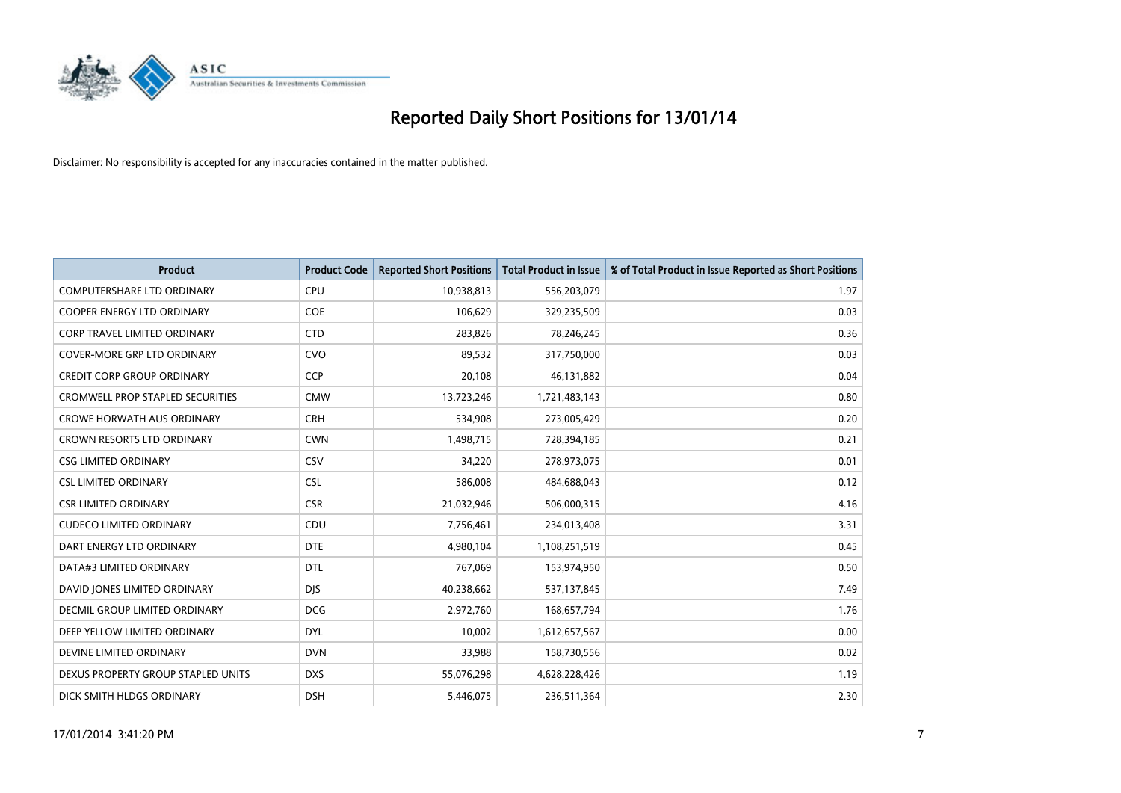

| Product                                 | <b>Product Code</b> | <b>Reported Short Positions</b> | <b>Total Product in Issue</b> | % of Total Product in Issue Reported as Short Positions |
|-----------------------------------------|---------------------|---------------------------------|-------------------------------|---------------------------------------------------------|
| <b>COMPUTERSHARE LTD ORDINARY</b>       | <b>CPU</b>          | 10,938,813                      | 556,203,079                   | 1.97                                                    |
| COOPER ENERGY LTD ORDINARY              | <b>COE</b>          | 106,629                         | 329,235,509                   | 0.03                                                    |
| <b>CORP TRAVEL LIMITED ORDINARY</b>     | <b>CTD</b>          | 283,826                         | 78,246,245                    | 0.36                                                    |
| COVER-MORE GRP LTD ORDINARY             | <b>CVO</b>          | 89,532                          | 317,750,000                   | 0.03                                                    |
| <b>CREDIT CORP GROUP ORDINARY</b>       | <b>CCP</b>          | 20,108                          | 46,131,882                    | 0.04                                                    |
| <b>CROMWELL PROP STAPLED SECURITIES</b> | <b>CMW</b>          | 13,723,246                      | 1,721,483,143                 | 0.80                                                    |
| <b>CROWE HORWATH AUS ORDINARY</b>       | <b>CRH</b>          | 534,908                         | 273,005,429                   | 0.20                                                    |
| CROWN RESORTS LTD ORDINARY              | <b>CWN</b>          | 1,498,715                       | 728,394,185                   | 0.21                                                    |
| <b>CSG LIMITED ORDINARY</b>             | CSV                 | 34,220                          | 278,973,075                   | 0.01                                                    |
| <b>CSL LIMITED ORDINARY</b>             | <b>CSL</b>          | 586,008                         | 484,688,043                   | 0.12                                                    |
| <b>CSR LIMITED ORDINARY</b>             | <b>CSR</b>          | 21,032,946                      | 506,000,315                   | 4.16                                                    |
| <b>CUDECO LIMITED ORDINARY</b>          | CDU                 | 7,756,461                       | 234,013,408                   | 3.31                                                    |
| DART ENERGY LTD ORDINARY                | <b>DTE</b>          | 4,980,104                       | 1,108,251,519                 | 0.45                                                    |
| DATA#3 LIMITED ORDINARY                 | <b>DTL</b>          | 767,069                         | 153,974,950                   | 0.50                                                    |
| DAVID JONES LIMITED ORDINARY            | <b>DJS</b>          | 40,238,662                      | 537,137,845                   | 7.49                                                    |
| DECMIL GROUP LIMITED ORDINARY           | <b>DCG</b>          | 2,972,760                       | 168,657,794                   | 1.76                                                    |
| DEEP YELLOW LIMITED ORDINARY            | DYL                 | 10,002                          | 1,612,657,567                 | 0.00                                                    |
| DEVINE LIMITED ORDINARY                 | <b>DVN</b>          | 33,988                          | 158,730,556                   | 0.02                                                    |
| DEXUS PROPERTY GROUP STAPLED UNITS      | <b>DXS</b>          | 55,076,298                      | 4,628,228,426                 | 1.19                                                    |
| DICK SMITH HLDGS ORDINARY               | <b>DSH</b>          | 5,446,075                       | 236,511,364                   | 2.30                                                    |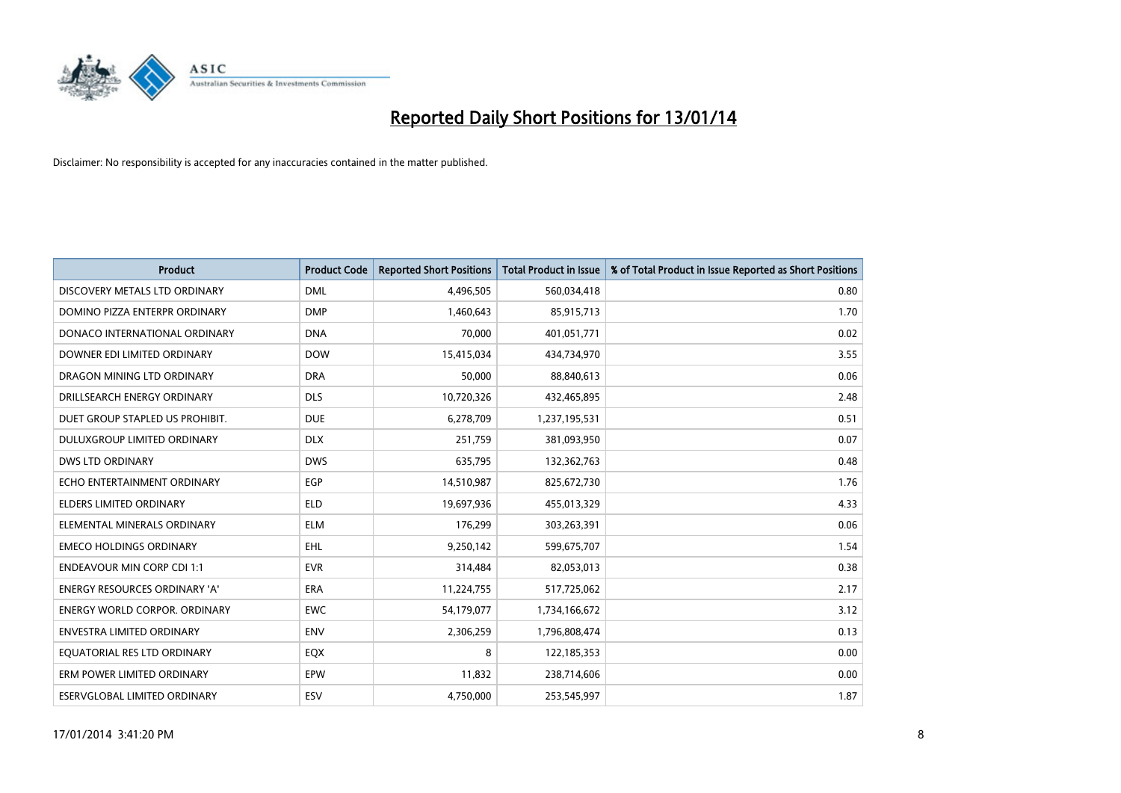

| <b>Product</b>                       | <b>Product Code</b> | <b>Reported Short Positions</b> | <b>Total Product in Issue</b> | % of Total Product in Issue Reported as Short Positions |
|--------------------------------------|---------------------|---------------------------------|-------------------------------|---------------------------------------------------------|
| DISCOVERY METALS LTD ORDINARY        | <b>DML</b>          | 4,496,505                       | 560,034,418                   | 0.80                                                    |
| DOMINO PIZZA ENTERPR ORDINARY        | <b>DMP</b>          | 1,460,643                       | 85,915,713                    | 1.70                                                    |
| DONACO INTERNATIONAL ORDINARY        | <b>DNA</b>          | 70,000                          | 401,051,771                   | 0.02                                                    |
| DOWNER EDI LIMITED ORDINARY          | <b>DOW</b>          | 15,415,034                      | 434,734,970                   | 3.55                                                    |
| DRAGON MINING LTD ORDINARY           | <b>DRA</b>          | 50,000                          | 88,840,613                    | 0.06                                                    |
| DRILLSEARCH ENERGY ORDINARY          | <b>DLS</b>          | 10,720,326                      | 432,465,895                   | 2.48                                                    |
| DUET GROUP STAPLED US PROHIBIT.      | <b>DUE</b>          | 6,278,709                       | 1,237,195,531                 | 0.51                                                    |
| DULUXGROUP LIMITED ORDINARY          | <b>DLX</b>          | 251,759                         | 381,093,950                   | 0.07                                                    |
| <b>DWS LTD ORDINARY</b>              | <b>DWS</b>          | 635,795                         | 132,362,763                   | 0.48                                                    |
| ECHO ENTERTAINMENT ORDINARY          | <b>EGP</b>          | 14,510,987                      | 825,672,730                   | 1.76                                                    |
| ELDERS LIMITED ORDINARY              | <b>ELD</b>          | 19,697,936                      | 455,013,329                   | 4.33                                                    |
| ELEMENTAL MINERALS ORDINARY          | <b>ELM</b>          | 176,299                         | 303,263,391                   | 0.06                                                    |
| <b>EMECO HOLDINGS ORDINARY</b>       | <b>EHL</b>          | 9,250,142                       | 599,675,707                   | 1.54                                                    |
| <b>ENDEAVOUR MIN CORP CDI 1:1</b>    | <b>EVR</b>          | 314,484                         | 82,053,013                    | 0.38                                                    |
| <b>ENERGY RESOURCES ORDINARY 'A'</b> | <b>ERA</b>          | 11,224,755                      | 517,725,062                   | 2.17                                                    |
| <b>ENERGY WORLD CORPOR. ORDINARY</b> | <b>EWC</b>          | 54,179,077                      | 1,734,166,672                 | 3.12                                                    |
| ENVESTRA LIMITED ORDINARY            | <b>ENV</b>          | 2,306,259                       | 1,796,808,474                 | 0.13                                                    |
| EQUATORIAL RES LTD ORDINARY          | EQX                 | 8                               | 122,185,353                   | 0.00                                                    |
| ERM POWER LIMITED ORDINARY           | EPW                 | 11,832                          | 238,714,606                   | 0.00                                                    |
| ESERVGLOBAL LIMITED ORDINARY         | ESV                 | 4,750,000                       | 253,545,997                   | 1.87                                                    |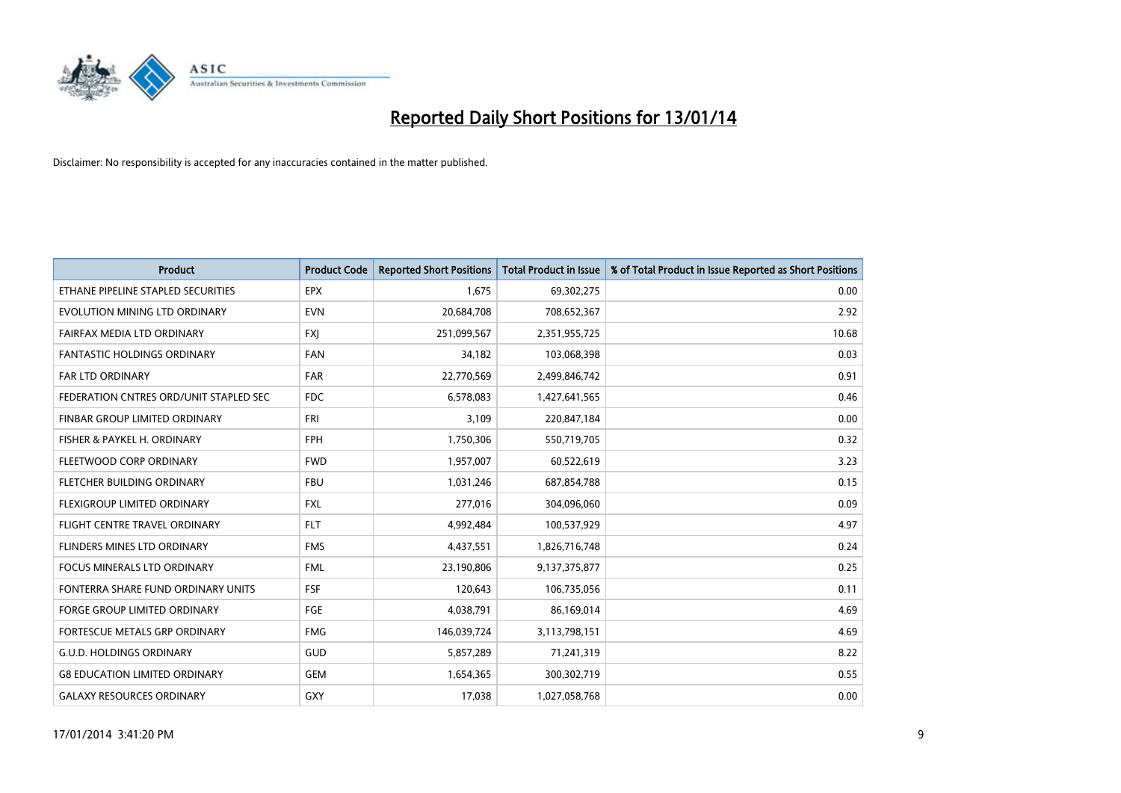

| <b>Product</b>                         | <b>Product Code</b> | <b>Reported Short Positions</b> | <b>Total Product in Issue</b> | % of Total Product in Issue Reported as Short Positions |
|----------------------------------------|---------------------|---------------------------------|-------------------------------|---------------------------------------------------------|
| ETHANE PIPELINE STAPLED SECURITIES     | <b>EPX</b>          | 1.675                           | 69,302,275                    | 0.00                                                    |
| EVOLUTION MINING LTD ORDINARY          | <b>EVN</b>          | 20,684,708                      | 708,652,367                   | 2.92                                                    |
| FAIRFAX MEDIA LTD ORDINARY             | <b>FXI</b>          | 251,099,567                     | 2,351,955,725                 | 10.68                                                   |
| FANTASTIC HOLDINGS ORDINARY            | <b>FAN</b>          | 34,182                          | 103,068,398                   | 0.03                                                    |
| <b>FAR LTD ORDINARY</b>                | <b>FAR</b>          | 22,770,569                      | 2,499,846,742                 | 0.91                                                    |
| FEDERATION CNTRES ORD/UNIT STAPLED SEC | <b>FDC</b>          | 6,578,083                       | 1,427,641,565                 | 0.46                                                    |
| <b>FINBAR GROUP LIMITED ORDINARY</b>   | <b>FRI</b>          | 3,109                           | 220,847,184                   | 0.00                                                    |
| FISHER & PAYKEL H. ORDINARY            | <b>FPH</b>          | 1,750,306                       | 550,719,705                   | 0.32                                                    |
| FLEETWOOD CORP ORDINARY                | <b>FWD</b>          | 1,957,007                       | 60,522,619                    | 3.23                                                    |
| FLETCHER BUILDING ORDINARY             | <b>FBU</b>          | 1,031,246                       | 687,854,788                   | 0.15                                                    |
| FLEXIGROUP LIMITED ORDINARY            | <b>FXL</b>          | 277,016                         | 304,096,060                   | 0.09                                                    |
| FLIGHT CENTRE TRAVEL ORDINARY          | <b>FLT</b>          | 4,992,484                       | 100,537,929                   | 4.97                                                    |
| FLINDERS MINES LTD ORDINARY            | <b>FMS</b>          | 4,437,551                       | 1,826,716,748                 | 0.24                                                    |
| <b>FOCUS MINERALS LTD ORDINARY</b>     | <b>FML</b>          | 23,190,806                      | 9,137,375,877                 | 0.25                                                    |
| FONTERRA SHARE FUND ORDINARY UNITS     | <b>FSF</b>          | 120,643                         | 106,735,056                   | 0.11                                                    |
| <b>FORGE GROUP LIMITED ORDINARY</b>    | <b>FGE</b>          | 4,038,791                       | 86,169,014                    | 4.69                                                    |
| FORTESCUE METALS GRP ORDINARY          | <b>FMG</b>          | 146,039,724                     | 3,113,798,151                 | 4.69                                                    |
| <b>G.U.D. HOLDINGS ORDINARY</b>        | <b>GUD</b>          | 5,857,289                       | 71,241,319                    | 8.22                                                    |
| <b>G8 EDUCATION LIMITED ORDINARY</b>   | GEM                 | 1,654,365                       | 300,302,719                   | 0.55                                                    |
| <b>GALAXY RESOURCES ORDINARY</b>       | GXY                 | 17,038                          | 1,027,058,768                 | 0.00                                                    |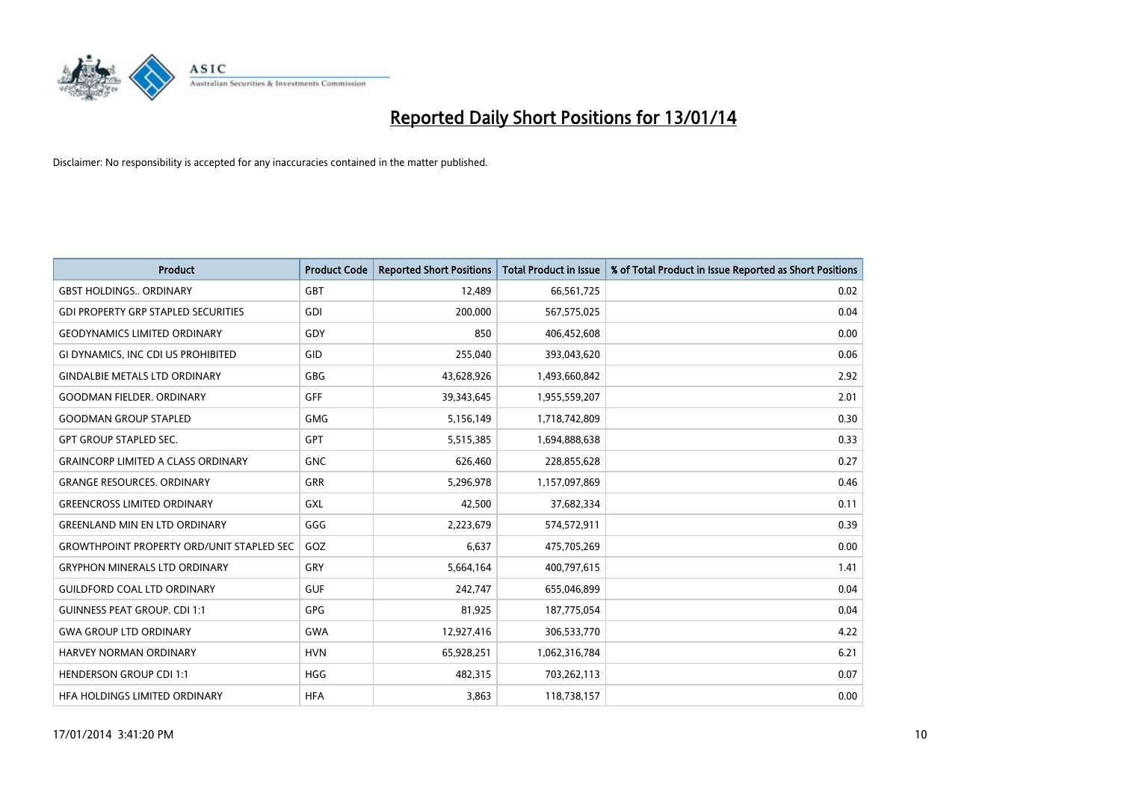

| Product                                          | <b>Product Code</b> | <b>Reported Short Positions</b> | <b>Total Product in Issue</b> | % of Total Product in Issue Reported as Short Positions |
|--------------------------------------------------|---------------------|---------------------------------|-------------------------------|---------------------------------------------------------|
| <b>GBST HOLDINGS., ORDINARY</b>                  | GBT                 | 12,489                          | 66,561,725                    | 0.02                                                    |
| <b>GDI PROPERTY GRP STAPLED SECURITIES</b>       | GDI                 | 200,000                         | 567,575,025                   | 0.04                                                    |
| <b>GEODYNAMICS LIMITED ORDINARY</b>              | GDY                 | 850                             | 406,452,608                   | 0.00                                                    |
| GI DYNAMICS, INC CDI US PROHIBITED               | GID                 | 255,040                         | 393,043,620                   | 0.06                                                    |
| <b>GINDALBIE METALS LTD ORDINARY</b>             | GBG                 | 43,628,926                      | 1,493,660,842                 | 2.92                                                    |
| <b>GOODMAN FIELDER, ORDINARY</b>                 | <b>GFF</b>          | 39,343,645                      | 1,955,559,207                 | 2.01                                                    |
| <b>GOODMAN GROUP STAPLED</b>                     | <b>GMG</b>          | 5,156,149                       | 1,718,742,809                 | 0.30                                                    |
| <b>GPT GROUP STAPLED SEC.</b>                    | <b>GPT</b>          | 5,515,385                       | 1,694,888,638                 | 0.33                                                    |
| <b>GRAINCORP LIMITED A CLASS ORDINARY</b>        | <b>GNC</b>          | 626,460                         | 228,855,628                   | 0.27                                                    |
| <b>GRANGE RESOURCES, ORDINARY</b>                | GRR                 | 5,296,978                       | 1,157,097,869                 | 0.46                                                    |
| <b>GREENCROSS LIMITED ORDINARY</b>               | <b>GXL</b>          | 42,500                          | 37,682,334                    | 0.11                                                    |
| <b>GREENLAND MIN EN LTD ORDINARY</b>             | GGG                 | 2,223,679                       | 574,572,911                   | 0.39                                                    |
| <b>GROWTHPOINT PROPERTY ORD/UNIT STAPLED SEC</b> | GOZ                 | 6,637                           | 475,705,269                   | 0.00                                                    |
| <b>GRYPHON MINERALS LTD ORDINARY</b>             | GRY                 | 5,664,164                       | 400,797,615                   | 1.41                                                    |
| <b>GUILDFORD COAL LTD ORDINARY</b>               | <b>GUF</b>          | 242,747                         | 655,046,899                   | 0.04                                                    |
| <b>GUINNESS PEAT GROUP. CDI 1:1</b>              | GPG                 | 81,925                          | 187,775,054                   | 0.04                                                    |
| <b>GWA GROUP LTD ORDINARY</b>                    | <b>GWA</b>          | 12,927,416                      | 306,533,770                   | 4.22                                                    |
| <b>HARVEY NORMAN ORDINARY</b>                    | <b>HVN</b>          | 65,928,251                      | 1,062,316,784                 | 6.21                                                    |
| <b>HENDERSON GROUP CDI 1:1</b>                   | <b>HGG</b>          | 482,315                         | 703,262,113                   | 0.07                                                    |
| HEA HOLDINGS LIMITED ORDINARY                    | <b>HFA</b>          | 3,863                           | 118,738,157                   | 0.00                                                    |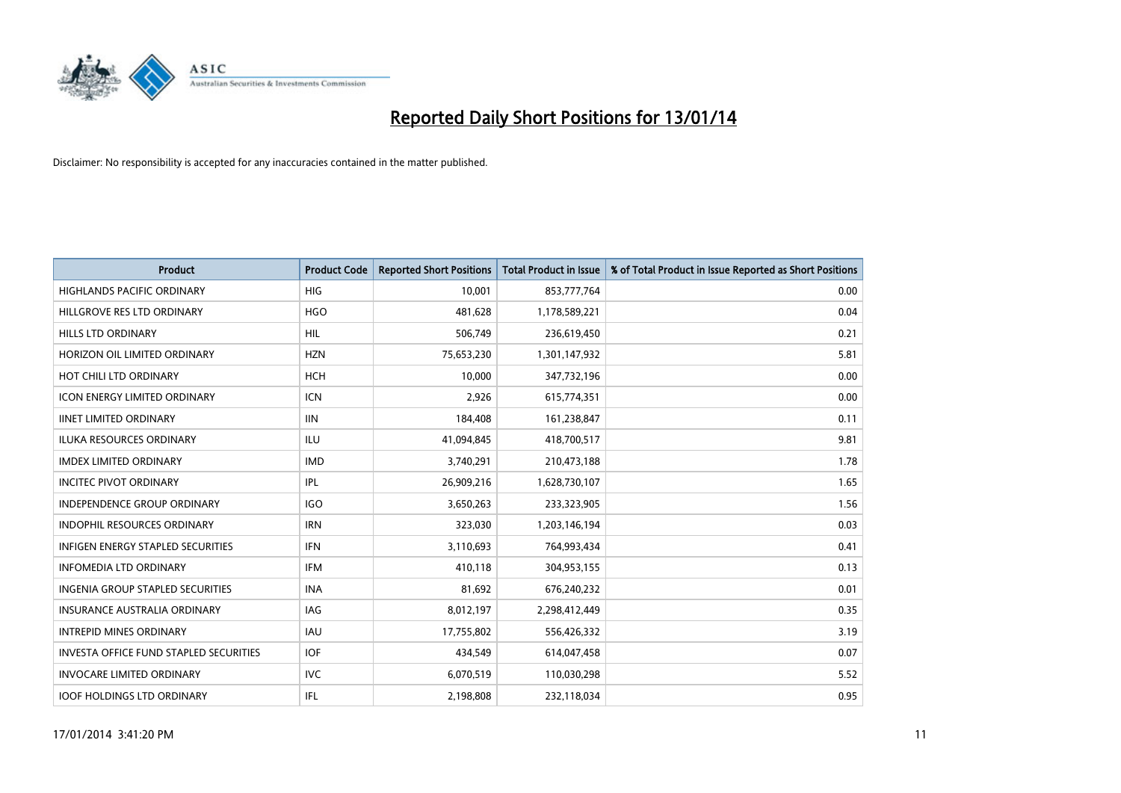

| <b>Product</b>                                | <b>Product Code</b> | <b>Reported Short Positions</b> | <b>Total Product in Issue</b> | % of Total Product in Issue Reported as Short Positions |
|-----------------------------------------------|---------------------|---------------------------------|-------------------------------|---------------------------------------------------------|
| <b>HIGHLANDS PACIFIC ORDINARY</b>             | <b>HIG</b>          | 10,001                          | 853,777,764                   | 0.00                                                    |
| HILLGROVE RES LTD ORDINARY                    | <b>HGO</b>          | 481,628                         | 1,178,589,221                 | 0.04                                                    |
| HILLS LTD ORDINARY                            | HIL                 | 506,749                         | 236,619,450                   | 0.21                                                    |
| HORIZON OIL LIMITED ORDINARY                  | <b>HZN</b>          | 75,653,230                      | 1,301,147,932                 | 5.81                                                    |
| HOT CHILI LTD ORDINARY                        | <b>HCH</b>          | 10,000                          | 347,732,196                   | 0.00                                                    |
| <b>ICON ENERGY LIMITED ORDINARY</b>           | <b>ICN</b>          | 2,926                           | 615,774,351                   | 0.00                                                    |
| <b>IINET LIMITED ORDINARY</b>                 | <b>IIN</b>          | 184,408                         | 161,238,847                   | 0.11                                                    |
| <b>ILUKA RESOURCES ORDINARY</b>               | ILU                 | 41,094,845                      | 418,700,517                   | 9.81                                                    |
| <b>IMDEX LIMITED ORDINARY</b>                 | <b>IMD</b>          | 3,740,291                       | 210,473,188                   | 1.78                                                    |
| <b>INCITEC PIVOT ORDINARY</b>                 | IPL                 | 26,909,216                      | 1,628,730,107                 | 1.65                                                    |
| INDEPENDENCE GROUP ORDINARY                   | <b>IGO</b>          | 3,650,263                       | 233,323,905                   | 1.56                                                    |
| <b>INDOPHIL RESOURCES ORDINARY</b>            | <b>IRN</b>          | 323,030                         | 1,203,146,194                 | 0.03                                                    |
| <b>INFIGEN ENERGY STAPLED SECURITIES</b>      | <b>IFN</b>          | 3,110,693                       | 764,993,434                   | 0.41                                                    |
| <b>INFOMEDIA LTD ORDINARY</b>                 | <b>IFM</b>          | 410,118                         | 304,953,155                   | 0.13                                                    |
| <b>INGENIA GROUP STAPLED SECURITIES</b>       | <b>INA</b>          | 81,692                          | 676,240,232                   | 0.01                                                    |
| INSURANCE AUSTRALIA ORDINARY                  | IAG                 | 8,012,197                       | 2,298,412,449                 | 0.35                                                    |
| <b>INTREPID MINES ORDINARY</b>                | <b>IAU</b>          | 17,755,802                      | 556,426,332                   | 3.19                                                    |
| <b>INVESTA OFFICE FUND STAPLED SECURITIES</b> | <b>IOF</b>          | 434,549                         | 614,047,458                   | 0.07                                                    |
| <b>INVOCARE LIMITED ORDINARY</b>              | <b>IVC</b>          | 6,070,519                       | 110,030,298                   | 5.52                                                    |
| <b>IOOF HOLDINGS LTD ORDINARY</b>             | IFL                 | 2,198,808                       | 232,118,034                   | 0.95                                                    |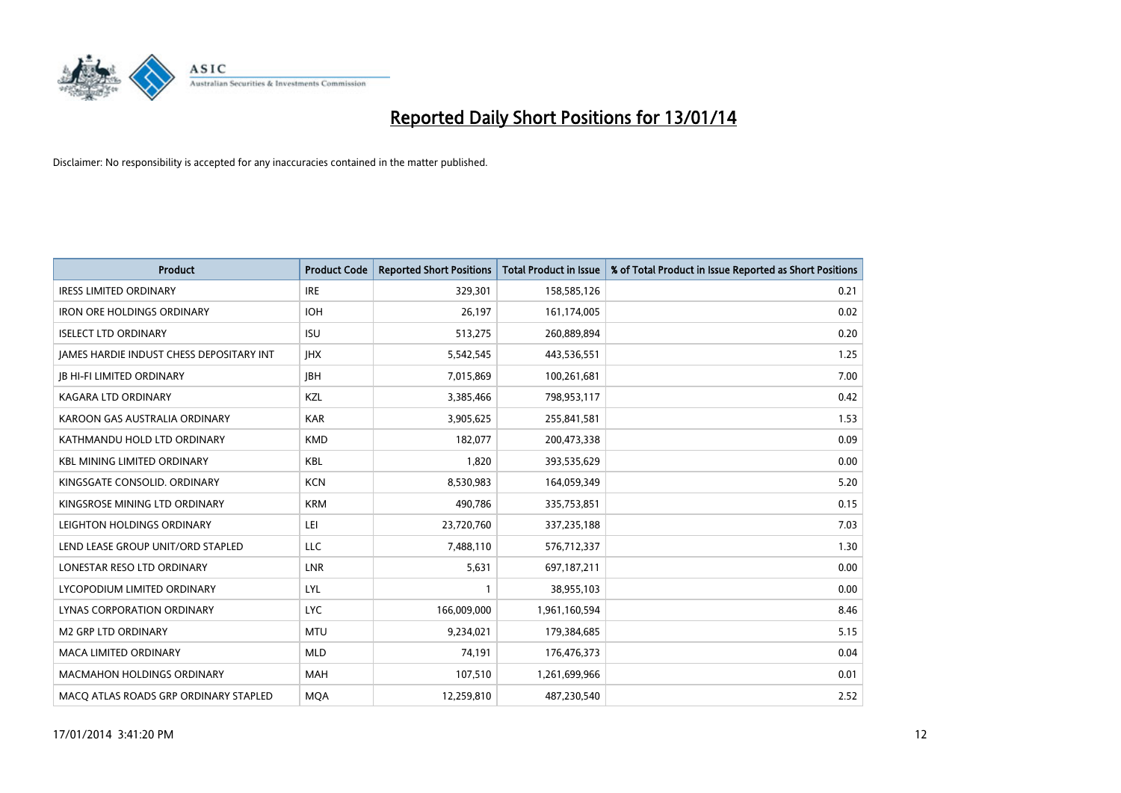

| <b>Product</b>                           | <b>Product Code</b> | <b>Reported Short Positions</b> | <b>Total Product in Issue</b> | % of Total Product in Issue Reported as Short Positions |
|------------------------------------------|---------------------|---------------------------------|-------------------------------|---------------------------------------------------------|
| <b>IRESS LIMITED ORDINARY</b>            | <b>IRE</b>          | 329,301                         | 158,585,126                   | 0.21                                                    |
| <b>IRON ORE HOLDINGS ORDINARY</b>        | <b>IOH</b>          | 26,197                          | 161,174,005                   | 0.02                                                    |
| <b>ISELECT LTD ORDINARY</b>              | <b>ISU</b>          | 513,275                         | 260,889,894                   | 0.20                                                    |
| JAMES HARDIE INDUST CHESS DEPOSITARY INT | <b>IHX</b>          | 5,542,545                       | 443,536,551                   | 1.25                                                    |
| <b>JB HI-FI LIMITED ORDINARY</b>         | <b>IBH</b>          | 7,015,869                       | 100,261,681                   | 7.00                                                    |
| <b>KAGARA LTD ORDINARY</b>               | KZL                 | 3,385,466                       | 798,953,117                   | 0.42                                                    |
| KAROON GAS AUSTRALIA ORDINARY            | <b>KAR</b>          | 3,905,625                       | 255,841,581                   | 1.53                                                    |
| KATHMANDU HOLD LTD ORDINARY              | <b>KMD</b>          | 182,077                         | 200,473,338                   | 0.09                                                    |
| <b>KBL MINING LIMITED ORDINARY</b>       | <b>KBL</b>          | 1,820                           | 393,535,629                   | 0.00                                                    |
| KINGSGATE CONSOLID. ORDINARY             | <b>KCN</b>          | 8,530,983                       | 164,059,349                   | 5.20                                                    |
| KINGSROSE MINING LTD ORDINARY            | <b>KRM</b>          | 490,786                         | 335,753,851                   | 0.15                                                    |
| LEIGHTON HOLDINGS ORDINARY               | LEI                 | 23,720,760                      | 337,235,188                   | 7.03                                                    |
| LEND LEASE GROUP UNIT/ORD STAPLED        | <b>LLC</b>          | 7,488,110                       | 576,712,337                   | 1.30                                                    |
| LONESTAR RESO LTD ORDINARY               | <b>LNR</b>          | 5,631                           | 697,187,211                   | 0.00                                                    |
| LYCOPODIUM LIMITED ORDINARY              | <b>LYL</b>          | 1                               | 38,955,103                    | 0.00                                                    |
| LYNAS CORPORATION ORDINARY               | <b>LYC</b>          | 166,009,000                     | 1,961,160,594                 | 8.46                                                    |
| <b>M2 GRP LTD ORDINARY</b>               | MTU                 | 9,234,021                       | 179,384,685                   | 5.15                                                    |
| <b>MACA LIMITED ORDINARY</b>             | <b>MLD</b>          | 74,191                          | 176,476,373                   | 0.04                                                    |
| <b>MACMAHON HOLDINGS ORDINARY</b>        | <b>MAH</b>          | 107,510                         | 1,261,699,966                 | 0.01                                                    |
| MACO ATLAS ROADS GRP ORDINARY STAPLED    | <b>MOA</b>          | 12,259,810                      | 487,230,540                   | 2.52                                                    |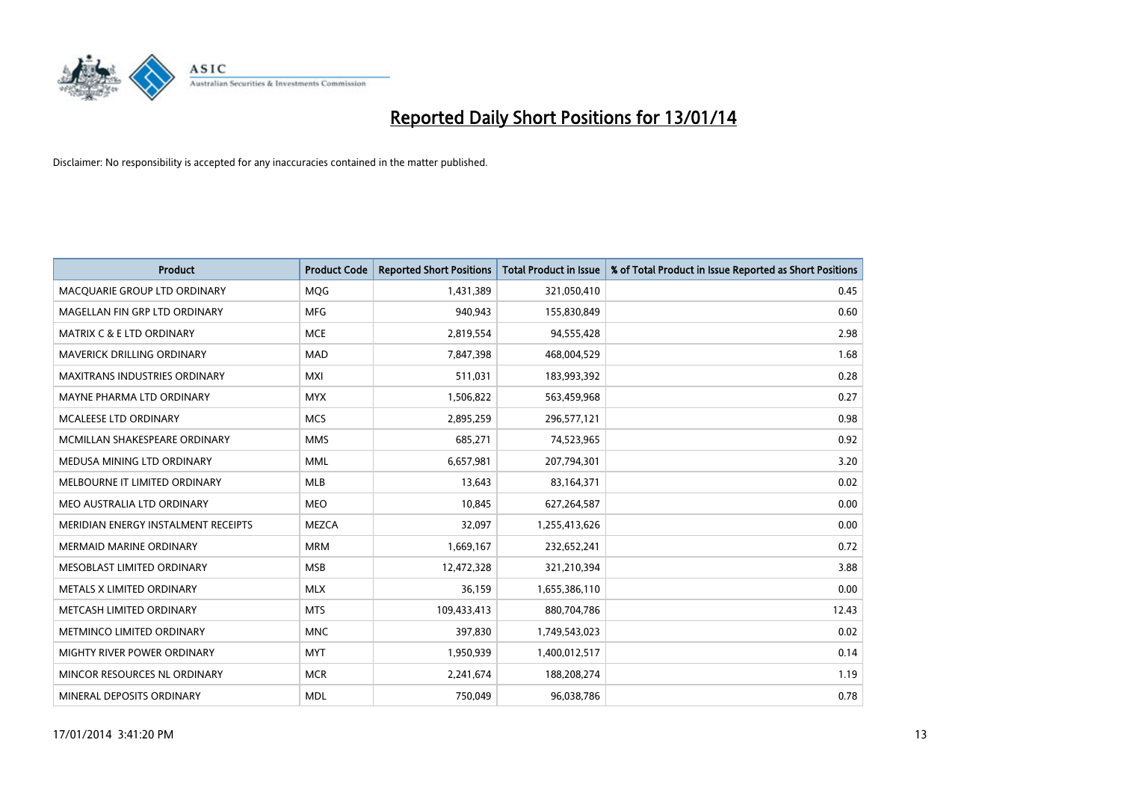

| <b>Product</b>                       | <b>Product Code</b> | <b>Reported Short Positions</b> | <b>Total Product in Issue</b> | % of Total Product in Issue Reported as Short Positions |
|--------------------------------------|---------------------|---------------------------------|-------------------------------|---------------------------------------------------------|
| MACQUARIE GROUP LTD ORDINARY         | MQG                 | 1,431,389                       | 321,050,410                   | 0.45                                                    |
| MAGELLAN FIN GRP LTD ORDINARY        | MFG                 | 940,943                         | 155,830,849                   | 0.60                                                    |
| <b>MATRIX C &amp; E LTD ORDINARY</b> | <b>MCE</b>          | 2,819,554                       | 94,555,428                    | 2.98                                                    |
| <b>MAVERICK DRILLING ORDINARY</b>    | <b>MAD</b>          | 7,847,398                       | 468,004,529                   | 1.68                                                    |
| <b>MAXITRANS INDUSTRIES ORDINARY</b> | <b>MXI</b>          | 511,031                         | 183,993,392                   | 0.28                                                    |
| MAYNE PHARMA LTD ORDINARY            | <b>MYX</b>          | 1,506,822                       | 563,459,968                   | 0.27                                                    |
| MCALEESE LTD ORDINARY                | <b>MCS</b>          | 2,895,259                       | 296,577,121                   | 0.98                                                    |
| MCMILLAN SHAKESPEARE ORDINARY        | <b>MMS</b>          | 685,271                         | 74,523,965                    | 0.92                                                    |
| MEDUSA MINING LTD ORDINARY           | <b>MML</b>          | 6,657,981                       | 207,794,301                   | 3.20                                                    |
| MELBOURNE IT LIMITED ORDINARY        | <b>MLB</b>          | 13,643                          | 83,164,371                    | 0.02                                                    |
| MEO AUSTRALIA LTD ORDINARY           | <b>MEO</b>          | 10,845                          | 627,264,587                   | 0.00                                                    |
| MERIDIAN ENERGY INSTALMENT RECEIPTS  | <b>MEZCA</b>        | 32,097                          | 1,255,413,626                 | 0.00                                                    |
| <b>MERMAID MARINE ORDINARY</b>       | <b>MRM</b>          | 1,669,167                       | 232,652,241                   | 0.72                                                    |
| MESOBLAST LIMITED ORDINARY           | <b>MSB</b>          | 12,472,328                      | 321,210,394                   | 3.88                                                    |
| METALS X LIMITED ORDINARY            | <b>MLX</b>          | 36,159                          | 1,655,386,110                 | 0.00                                                    |
| METCASH LIMITED ORDINARY             | <b>MTS</b>          | 109,433,413                     | 880,704,786                   | 12.43                                                   |
| METMINCO LIMITED ORDINARY            | <b>MNC</b>          | 397,830                         | 1,749,543,023                 | 0.02                                                    |
| MIGHTY RIVER POWER ORDINARY          | <b>MYT</b>          | 1,950,939                       | 1,400,012,517                 | 0.14                                                    |
| MINCOR RESOURCES NL ORDINARY         | <b>MCR</b>          | 2,241,674                       | 188,208,274                   | 1.19                                                    |
| MINERAL DEPOSITS ORDINARY            | <b>MDL</b>          | 750,049                         | 96,038,786                    | 0.78                                                    |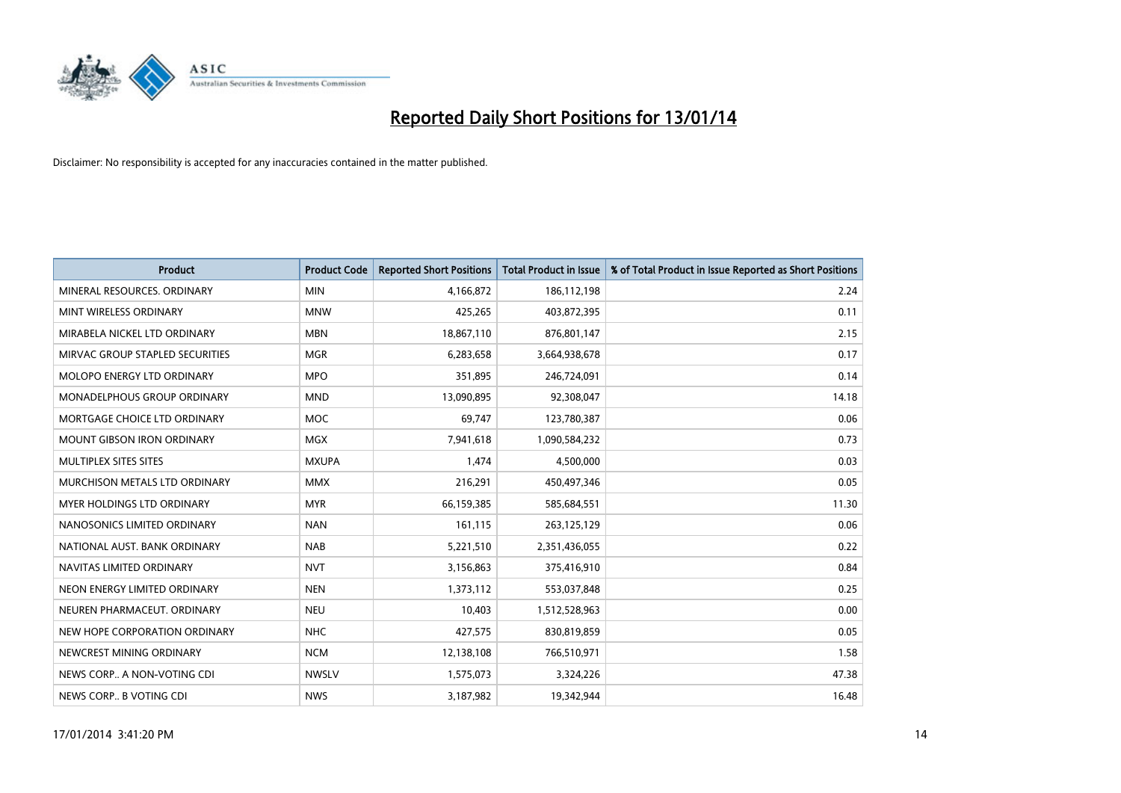

| <b>Product</b>                  | <b>Product Code</b> | <b>Reported Short Positions</b> | <b>Total Product in Issue</b> | % of Total Product in Issue Reported as Short Positions |
|---------------------------------|---------------------|---------------------------------|-------------------------------|---------------------------------------------------------|
| MINERAL RESOURCES, ORDINARY     | <b>MIN</b>          | 4,166,872                       | 186,112,198                   | 2.24                                                    |
| MINT WIRELESS ORDINARY          | <b>MNW</b>          | 425,265                         | 403,872,395                   | 0.11                                                    |
| MIRABELA NICKEL LTD ORDINARY    | <b>MBN</b>          | 18,867,110                      | 876,801,147                   | 2.15                                                    |
| MIRVAC GROUP STAPLED SECURITIES | <b>MGR</b>          | 6,283,658                       | 3,664,938,678                 | 0.17                                                    |
| MOLOPO ENERGY LTD ORDINARY      | <b>MPO</b>          | 351,895                         | 246,724,091                   | 0.14                                                    |
| MONADELPHOUS GROUP ORDINARY     | <b>MND</b>          | 13,090,895                      | 92,308,047                    | 14.18                                                   |
| MORTGAGE CHOICE LTD ORDINARY    | MOC                 | 69,747                          | 123,780,387                   | 0.06                                                    |
| MOUNT GIBSON IRON ORDINARY      | <b>MGX</b>          | 7,941,618                       | 1,090,584,232                 | 0.73                                                    |
| MULTIPLEX SITES SITES           | <b>MXUPA</b>        | 1,474                           | 4,500,000                     | 0.03                                                    |
| MURCHISON METALS LTD ORDINARY   | <b>MMX</b>          | 216,291                         | 450,497,346                   | 0.05                                                    |
| MYER HOLDINGS LTD ORDINARY      | <b>MYR</b>          | 66,159,385                      | 585,684,551                   | 11.30                                                   |
| NANOSONICS LIMITED ORDINARY     | <b>NAN</b>          | 161,115                         | 263,125,129                   | 0.06                                                    |
| NATIONAL AUST. BANK ORDINARY    | <b>NAB</b>          | 5,221,510                       | 2,351,436,055                 | 0.22                                                    |
| NAVITAS LIMITED ORDINARY        | <b>NVT</b>          | 3,156,863                       | 375,416,910                   | 0.84                                                    |
| NEON ENERGY LIMITED ORDINARY    | <b>NEN</b>          | 1,373,112                       | 553,037,848                   | 0.25                                                    |
| NEUREN PHARMACEUT. ORDINARY     | <b>NEU</b>          | 10,403                          | 1,512,528,963                 | 0.00                                                    |
| NEW HOPE CORPORATION ORDINARY   | <b>NHC</b>          | 427,575                         | 830,819,859                   | 0.05                                                    |
| NEWCREST MINING ORDINARY        | <b>NCM</b>          | 12,138,108                      | 766,510,971                   | 1.58                                                    |
| NEWS CORP A NON-VOTING CDI      | <b>NWSLV</b>        | 1,575,073                       | 3,324,226                     | 47.38                                                   |
| NEWS CORP B VOTING CDI          | <b>NWS</b>          | 3,187,982                       | 19,342,944                    | 16.48                                                   |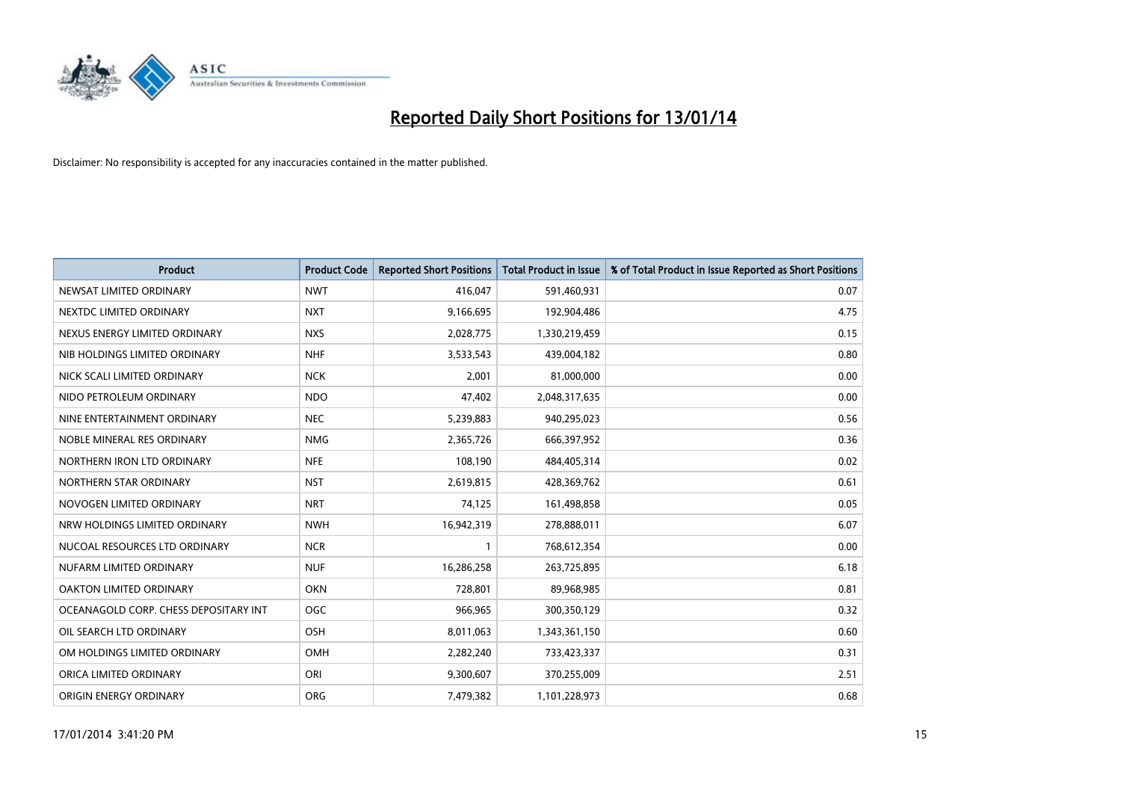

| <b>Product</b>                        | <b>Product Code</b> | <b>Reported Short Positions</b> | <b>Total Product in Issue</b> | % of Total Product in Issue Reported as Short Positions |
|---------------------------------------|---------------------|---------------------------------|-------------------------------|---------------------------------------------------------|
| NEWSAT LIMITED ORDINARY               | <b>NWT</b>          | 416,047                         | 591,460,931                   | 0.07                                                    |
| NEXTDC LIMITED ORDINARY               | <b>NXT</b>          | 9,166,695                       | 192,904,486                   | 4.75                                                    |
| NEXUS ENERGY LIMITED ORDINARY         | <b>NXS</b>          | 2,028,775                       | 1,330,219,459                 | 0.15                                                    |
| NIB HOLDINGS LIMITED ORDINARY         | <b>NHF</b>          | 3,533,543                       | 439,004,182                   | 0.80                                                    |
| NICK SCALI LIMITED ORDINARY           | <b>NCK</b>          | 2,001                           | 81,000,000                    | 0.00                                                    |
| NIDO PETROLEUM ORDINARY               | <b>NDO</b>          | 47,402                          | 2,048,317,635                 | 0.00                                                    |
| NINE ENTERTAINMENT ORDINARY           | <b>NEC</b>          | 5,239,883                       | 940,295,023                   | 0.56                                                    |
| NOBLE MINERAL RES ORDINARY            | <b>NMG</b>          | 2,365,726                       | 666,397,952                   | 0.36                                                    |
| NORTHERN IRON LTD ORDINARY            | <b>NFE</b>          | 108,190                         | 484,405,314                   | 0.02                                                    |
| NORTHERN STAR ORDINARY                | <b>NST</b>          | 2,619,815                       | 428,369,762                   | 0.61                                                    |
| NOVOGEN LIMITED ORDINARY              | <b>NRT</b>          | 74,125                          | 161,498,858                   | 0.05                                                    |
| NRW HOLDINGS LIMITED ORDINARY         | <b>NWH</b>          | 16,942,319                      | 278,888,011                   | 6.07                                                    |
| NUCOAL RESOURCES LTD ORDINARY         | <b>NCR</b>          | $\mathbf{1}$                    | 768,612,354                   | 0.00                                                    |
| NUFARM LIMITED ORDINARY               | <b>NUF</b>          | 16,286,258                      | 263,725,895                   | 6.18                                                    |
| OAKTON LIMITED ORDINARY               | <b>OKN</b>          | 728,801                         | 89,968,985                    | 0.81                                                    |
| OCEANAGOLD CORP. CHESS DEPOSITARY INT | <b>OGC</b>          | 966,965                         | 300,350,129                   | 0.32                                                    |
| OIL SEARCH LTD ORDINARY               | OSH                 | 8,011,063                       | 1,343,361,150                 | 0.60                                                    |
| OM HOLDINGS LIMITED ORDINARY          | <b>OMH</b>          | 2,282,240                       | 733,423,337                   | 0.31                                                    |
| ORICA LIMITED ORDINARY                | ORI                 | 9,300,607                       | 370,255,009                   | 2.51                                                    |
| ORIGIN ENERGY ORDINARY                | <b>ORG</b>          | 7,479,382                       | 1,101,228,973                 | 0.68                                                    |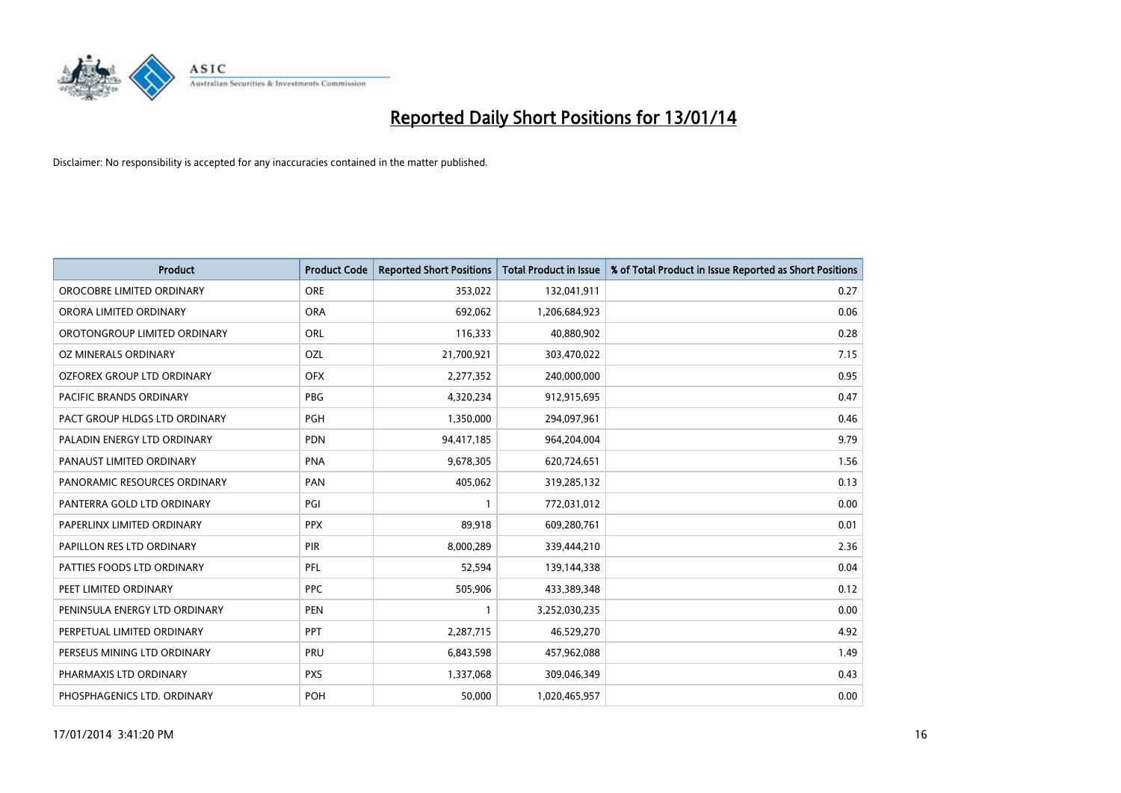

| <b>Product</b>                    | <b>Product Code</b> | <b>Reported Short Positions</b> | <b>Total Product in Issue</b> | % of Total Product in Issue Reported as Short Positions |
|-----------------------------------|---------------------|---------------------------------|-------------------------------|---------------------------------------------------------|
| OROCOBRE LIMITED ORDINARY         | <b>ORE</b>          | 353,022                         | 132,041,911                   | 0.27                                                    |
| ORORA LIMITED ORDINARY            | <b>ORA</b>          | 692,062                         | 1,206,684,923                 | 0.06                                                    |
| OROTONGROUP LIMITED ORDINARY      | ORL                 | 116,333                         | 40,880,902                    | 0.28                                                    |
| OZ MINERALS ORDINARY              | OZL                 | 21,700,921                      | 303,470,022                   | 7.15                                                    |
| <b>OZFOREX GROUP LTD ORDINARY</b> | <b>OFX</b>          | 2,277,352                       | 240,000,000                   | 0.95                                                    |
| <b>PACIFIC BRANDS ORDINARY</b>    | <b>PBG</b>          | 4,320,234                       | 912,915,695                   | 0.47                                                    |
| PACT GROUP HLDGS LTD ORDINARY     | <b>PGH</b>          | 1,350,000                       | 294,097,961                   | 0.46                                                    |
| PALADIN ENERGY LTD ORDINARY       | <b>PDN</b>          | 94,417,185                      | 964,204,004                   | 9.79                                                    |
| PANAUST LIMITED ORDINARY          | <b>PNA</b>          | 9,678,305                       | 620,724,651                   | 1.56                                                    |
| PANORAMIC RESOURCES ORDINARY      | PAN                 | 405,062                         | 319,285,132                   | 0.13                                                    |
| PANTERRA GOLD LTD ORDINARY        | PGI                 |                                 | 772,031,012                   | 0.00                                                    |
| PAPERLINX LIMITED ORDINARY        | <b>PPX</b>          | 89,918                          | 609,280,761                   | 0.01                                                    |
| PAPILLON RES LTD ORDINARY         | PIR                 | 8,000,289                       | 339,444,210                   | 2.36                                                    |
| PATTIES FOODS LTD ORDINARY        | <b>PFL</b>          | 52,594                          | 139,144,338                   | 0.04                                                    |
| PEET LIMITED ORDINARY             | <b>PPC</b>          | 505,906                         | 433,389,348                   | 0.12                                                    |
| PENINSULA ENERGY LTD ORDINARY     | <b>PEN</b>          | 1                               | 3,252,030,235                 | 0.00                                                    |
| PERPETUAL LIMITED ORDINARY        | <b>PPT</b>          | 2,287,715                       | 46,529,270                    | 4.92                                                    |
| PERSEUS MINING LTD ORDINARY       | PRU                 | 6,843,598                       | 457,962,088                   | 1.49                                                    |
| PHARMAXIS LTD ORDINARY            | <b>PXS</b>          | 1,337,068                       | 309,046,349                   | 0.43                                                    |
| PHOSPHAGENICS LTD. ORDINARY       | <b>POH</b>          | 50,000                          | 1,020,465,957                 | 0.00                                                    |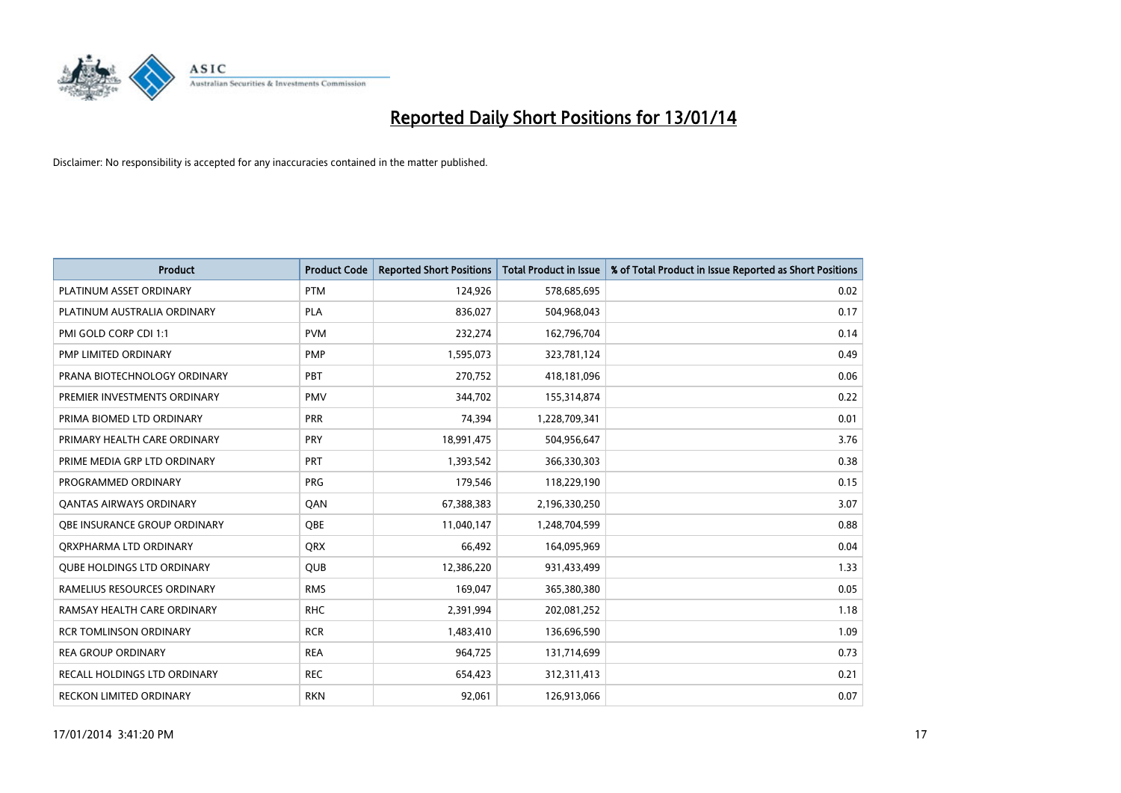

| <b>Product</b>                    | <b>Product Code</b> | <b>Reported Short Positions</b> | <b>Total Product in Issue</b> | % of Total Product in Issue Reported as Short Positions |
|-----------------------------------|---------------------|---------------------------------|-------------------------------|---------------------------------------------------------|
| PLATINUM ASSET ORDINARY           | <b>PTM</b>          | 124,926                         | 578,685,695                   | 0.02                                                    |
| PLATINUM AUSTRALIA ORDINARY       | <b>PLA</b>          | 836,027                         | 504,968,043                   | 0.17                                                    |
| PMI GOLD CORP CDI 1:1             | <b>PVM</b>          | 232,274                         | 162,796,704                   | 0.14                                                    |
| PMP LIMITED ORDINARY              | <b>PMP</b>          | 1,595,073                       | 323,781,124                   | 0.49                                                    |
| PRANA BIOTECHNOLOGY ORDINARY      | PBT                 | 270,752                         | 418,181,096                   | 0.06                                                    |
| PREMIER INVESTMENTS ORDINARY      | <b>PMV</b>          | 344,702                         | 155,314,874                   | 0.22                                                    |
| PRIMA BIOMED LTD ORDINARY         | <b>PRR</b>          | 74,394                          | 1,228,709,341                 | 0.01                                                    |
| PRIMARY HEALTH CARE ORDINARY      | <b>PRY</b>          | 18,991,475                      | 504,956,647                   | 3.76                                                    |
| PRIME MEDIA GRP LTD ORDINARY      | <b>PRT</b>          | 1,393,542                       | 366,330,303                   | 0.38                                                    |
| PROGRAMMED ORDINARY               | <b>PRG</b>          | 179,546                         | 118,229,190                   | 0.15                                                    |
| <b>QANTAS AIRWAYS ORDINARY</b>    | QAN                 | 67,388,383                      | 2,196,330,250                 | 3.07                                                    |
| QBE INSURANCE GROUP ORDINARY      | QBE                 | 11,040,147                      | 1,248,704,599                 | 0.88                                                    |
| ORXPHARMA LTD ORDINARY            | <b>QRX</b>          | 66,492                          | 164,095,969                   | 0.04                                                    |
| <b>QUBE HOLDINGS LTD ORDINARY</b> | QUB                 | 12,386,220                      | 931,433,499                   | 1.33                                                    |
| RAMELIUS RESOURCES ORDINARY       | <b>RMS</b>          | 169,047                         | 365,380,380                   | 0.05                                                    |
| RAMSAY HEALTH CARE ORDINARY       | <b>RHC</b>          | 2,391,994                       | 202,081,252                   | 1.18                                                    |
| <b>RCR TOMLINSON ORDINARY</b>     | <b>RCR</b>          | 1,483,410                       | 136,696,590                   | 1.09                                                    |
| <b>REA GROUP ORDINARY</b>         | <b>REA</b>          | 964,725                         | 131,714,699                   | 0.73                                                    |
| RECALL HOLDINGS LTD ORDINARY      | <b>REC</b>          | 654,423                         | 312,311,413                   | 0.21                                                    |
| <b>RECKON LIMITED ORDINARY</b>    | <b>RKN</b>          | 92.061                          | 126,913,066                   | 0.07                                                    |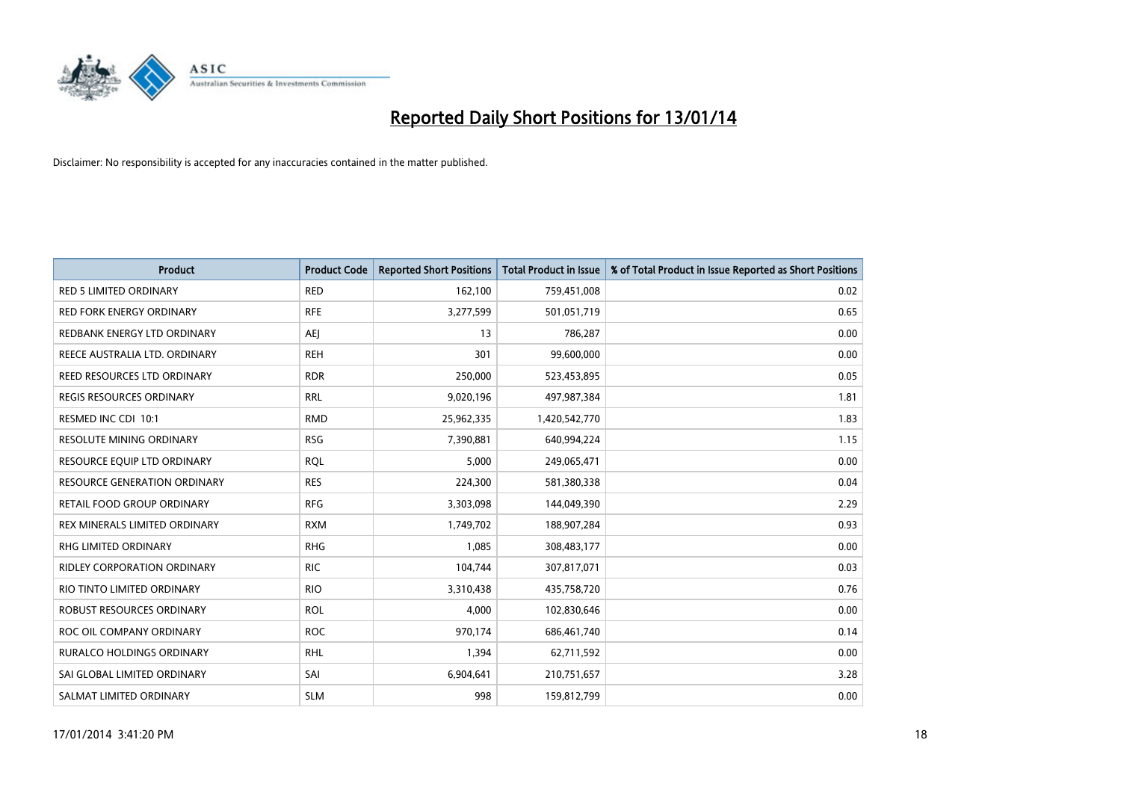

| Product                             | <b>Product Code</b> | <b>Reported Short Positions</b> | <b>Total Product in Issue</b> | % of Total Product in Issue Reported as Short Positions |
|-------------------------------------|---------------------|---------------------------------|-------------------------------|---------------------------------------------------------|
| <b>RED 5 LIMITED ORDINARY</b>       | <b>RED</b>          | 162,100                         | 759,451,008                   | 0.02                                                    |
| <b>RED FORK ENERGY ORDINARY</b>     | <b>RFE</b>          | 3,277,599                       | 501,051,719                   | 0.65                                                    |
| REDBANK ENERGY LTD ORDINARY         | <b>AEI</b>          | 13                              | 786,287                       | 0.00                                                    |
| REECE AUSTRALIA LTD. ORDINARY       | <b>REH</b>          | 301                             | 99,600,000                    | 0.00                                                    |
| REED RESOURCES LTD ORDINARY         | <b>RDR</b>          | 250,000                         | 523,453,895                   | 0.05                                                    |
| <b>REGIS RESOURCES ORDINARY</b>     | <b>RRL</b>          | 9,020,196                       | 497,987,384                   | 1.81                                                    |
| RESMED INC CDI 10:1                 | <b>RMD</b>          | 25,962,335                      | 1,420,542,770                 | 1.83                                                    |
| <b>RESOLUTE MINING ORDINARY</b>     | <b>RSG</b>          | 7,390,881                       | 640,994,224                   | 1.15                                                    |
| RESOURCE EQUIP LTD ORDINARY         | <b>ROL</b>          | 5,000                           | 249,065,471                   | 0.00                                                    |
| <b>RESOURCE GENERATION ORDINARY</b> | <b>RES</b>          | 224,300                         | 581,380,338                   | 0.04                                                    |
| RETAIL FOOD GROUP ORDINARY          | <b>RFG</b>          | 3,303,098                       | 144,049,390                   | 2.29                                                    |
| REX MINERALS LIMITED ORDINARY       | <b>RXM</b>          | 1,749,702                       | 188,907,284                   | 0.93                                                    |
| RHG LIMITED ORDINARY                | <b>RHG</b>          | 1,085                           | 308,483,177                   | 0.00                                                    |
| <b>RIDLEY CORPORATION ORDINARY</b>  | <b>RIC</b>          | 104,744                         | 307,817,071                   | 0.03                                                    |
| RIO TINTO LIMITED ORDINARY          | <b>RIO</b>          | 3,310,438                       | 435,758,720                   | 0.76                                                    |
| ROBUST RESOURCES ORDINARY           | <b>ROL</b>          | 4,000                           | 102,830,646                   | 0.00                                                    |
| ROC OIL COMPANY ORDINARY            | <b>ROC</b>          | 970,174                         | 686,461,740                   | 0.14                                                    |
| <b>RURALCO HOLDINGS ORDINARY</b>    | <b>RHL</b>          | 1,394                           | 62,711,592                    | 0.00                                                    |
| SAI GLOBAL LIMITED ORDINARY         | SAI                 | 6,904,641                       | 210,751,657                   | 3.28                                                    |
| SALMAT LIMITED ORDINARY             | <b>SLM</b>          | 998                             | 159,812,799                   | 0.00                                                    |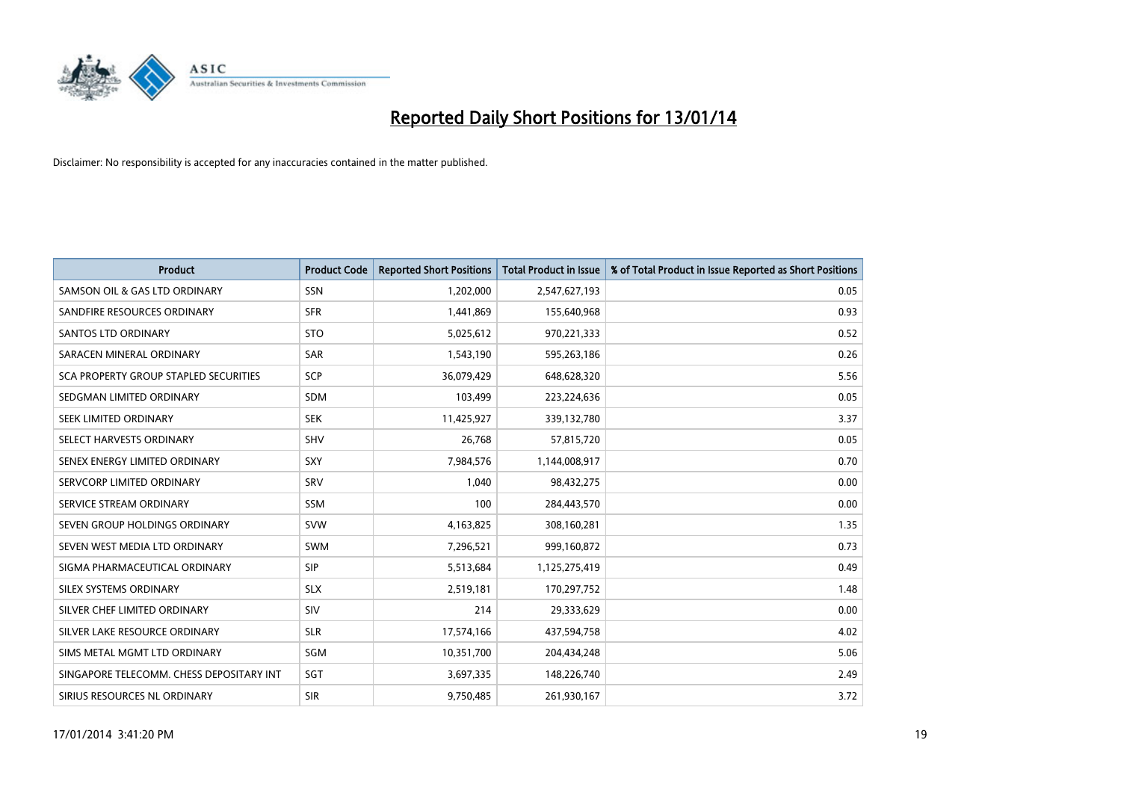

| <b>Product</b>                           | <b>Product Code</b> | <b>Reported Short Positions</b> | <b>Total Product in Issue</b> | % of Total Product in Issue Reported as Short Positions |
|------------------------------------------|---------------------|---------------------------------|-------------------------------|---------------------------------------------------------|
| SAMSON OIL & GAS LTD ORDINARY            | <b>SSN</b>          | 1,202,000                       | 2,547,627,193                 | 0.05                                                    |
| SANDFIRE RESOURCES ORDINARY              | <b>SFR</b>          | 1,441,869                       | 155,640,968                   | 0.93                                                    |
| SANTOS LTD ORDINARY                      | <b>STO</b>          | 5,025,612                       | 970,221,333                   | 0.52                                                    |
| SARACEN MINERAL ORDINARY                 | <b>SAR</b>          | 1,543,190                       | 595,263,186                   | 0.26                                                    |
| SCA PROPERTY GROUP STAPLED SECURITIES    | SCP                 | 36,079,429                      | 648,628,320                   | 5.56                                                    |
| SEDGMAN LIMITED ORDINARY                 | <b>SDM</b>          | 103,499                         | 223,224,636                   | 0.05                                                    |
| SEEK LIMITED ORDINARY                    | <b>SEK</b>          | 11,425,927                      | 339,132,780                   | 3.37                                                    |
| SELECT HARVESTS ORDINARY                 | <b>SHV</b>          | 26,768                          | 57,815,720                    | 0.05                                                    |
| SENEX ENERGY LIMITED ORDINARY            | <b>SXY</b>          | 7,984,576                       | 1,144,008,917                 | 0.70                                                    |
| SERVCORP LIMITED ORDINARY                | SRV                 | 1,040                           | 98,432,275                    | 0.00                                                    |
| SERVICE STREAM ORDINARY                  | <b>SSM</b>          | 100                             | 284,443,570                   | 0.00                                                    |
| SEVEN GROUP HOLDINGS ORDINARY            | <b>SVW</b>          | 4,163,825                       | 308,160,281                   | 1.35                                                    |
| SEVEN WEST MEDIA LTD ORDINARY            | <b>SWM</b>          | 7,296,521                       | 999,160,872                   | 0.73                                                    |
| SIGMA PHARMACEUTICAL ORDINARY            | <b>SIP</b>          | 5,513,684                       | 1,125,275,419                 | 0.49                                                    |
| SILEX SYSTEMS ORDINARY                   | <b>SLX</b>          | 2,519,181                       | 170,297,752                   | 1.48                                                    |
| SILVER CHEF LIMITED ORDINARY             | SIV                 | 214                             | 29,333,629                    | 0.00                                                    |
| SILVER LAKE RESOURCE ORDINARY            | <b>SLR</b>          | 17,574,166                      | 437,594,758                   | 4.02                                                    |
| SIMS METAL MGMT LTD ORDINARY             | <b>SGM</b>          | 10,351,700                      | 204,434,248                   | 5.06                                                    |
| SINGAPORE TELECOMM. CHESS DEPOSITARY INT | SGT                 | 3,697,335                       | 148,226,740                   | 2.49                                                    |
| SIRIUS RESOURCES NL ORDINARY             | <b>SIR</b>          | 9,750,485                       | 261,930,167                   | 3.72                                                    |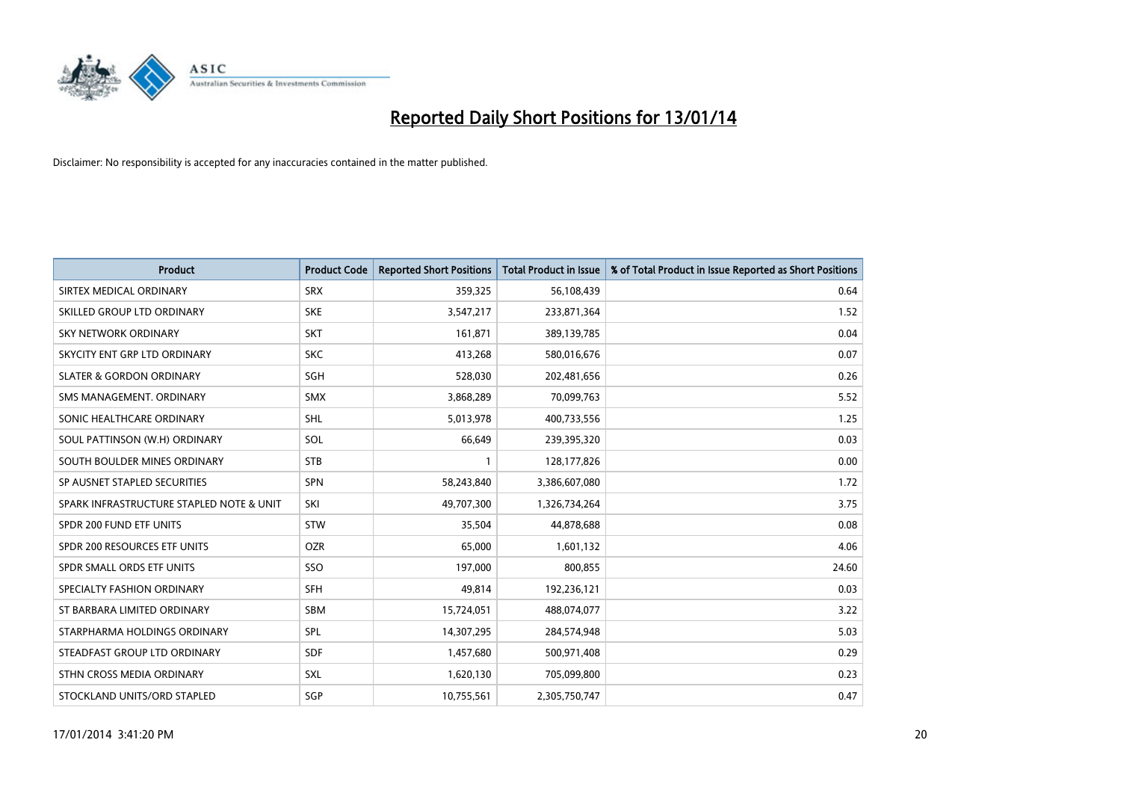

| <b>Product</b>                           | <b>Product Code</b> | <b>Reported Short Positions</b> | <b>Total Product in Issue</b> | % of Total Product in Issue Reported as Short Positions |
|------------------------------------------|---------------------|---------------------------------|-------------------------------|---------------------------------------------------------|
| SIRTEX MEDICAL ORDINARY                  | <b>SRX</b>          | 359,325                         | 56,108,439                    | 0.64                                                    |
| SKILLED GROUP LTD ORDINARY               | <b>SKE</b>          | 3,547,217                       | 233,871,364                   | 1.52                                                    |
| <b>SKY NETWORK ORDINARY</b>              | <b>SKT</b>          | 161,871                         | 389,139,785                   | 0.04                                                    |
| SKYCITY ENT GRP LTD ORDINARY             | <b>SKC</b>          | 413,268                         | 580,016,676                   | 0.07                                                    |
| <b>SLATER &amp; GORDON ORDINARY</b>      | SGH                 | 528,030                         | 202,481,656                   | 0.26                                                    |
| SMS MANAGEMENT, ORDINARY                 | <b>SMX</b>          | 3,868,289                       | 70,099,763                    | 5.52                                                    |
| SONIC HEALTHCARE ORDINARY                | <b>SHL</b>          | 5,013,978                       | 400,733,556                   | 1.25                                                    |
| SOUL PATTINSON (W.H) ORDINARY            | SOL                 | 66,649                          | 239,395,320                   | 0.03                                                    |
| SOUTH BOULDER MINES ORDINARY             | <b>STB</b>          | 1                               | 128,177,826                   | 0.00                                                    |
| SP AUSNET STAPLED SECURITIES             | <b>SPN</b>          | 58,243,840                      | 3,386,607,080                 | 1.72                                                    |
| SPARK INFRASTRUCTURE STAPLED NOTE & UNIT | SKI                 | 49,707,300                      | 1,326,734,264                 | 3.75                                                    |
| SPDR 200 FUND ETF UNITS                  | <b>STW</b>          | 35,504                          | 44,878,688                    | 0.08                                                    |
| SPDR 200 RESOURCES ETF UNITS             | <b>OZR</b>          | 65,000                          | 1,601,132                     | 4.06                                                    |
| SPDR SMALL ORDS ETF UNITS                | SSO                 | 197,000                         | 800,855                       | 24.60                                                   |
| SPECIALTY FASHION ORDINARY               | <b>SFH</b>          | 49,814                          | 192,236,121                   | 0.03                                                    |
| ST BARBARA LIMITED ORDINARY              | SBM                 | 15,724,051                      | 488,074,077                   | 3.22                                                    |
| STARPHARMA HOLDINGS ORDINARY             | SPL                 | 14,307,295                      | 284,574,948                   | 5.03                                                    |
| STEADFAST GROUP LTD ORDINARY             | <b>SDF</b>          | 1,457,680                       | 500,971,408                   | 0.29                                                    |
| STHN CROSS MEDIA ORDINARY                | SXL                 | 1,620,130                       | 705,099,800                   | 0.23                                                    |
| STOCKLAND UNITS/ORD STAPLED              | SGP                 | 10,755,561                      | 2,305,750,747                 | 0.47                                                    |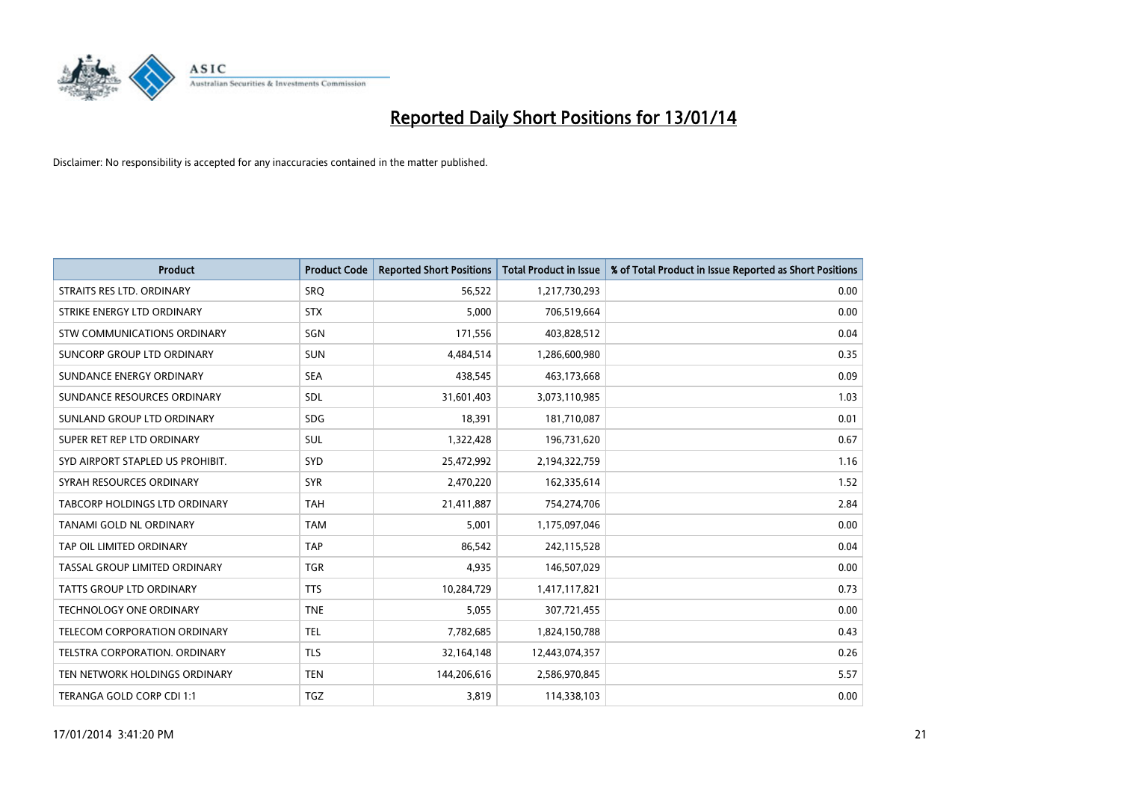

| <b>Product</b>                   | <b>Product Code</b> | <b>Reported Short Positions</b> | <b>Total Product in Issue</b> | % of Total Product in Issue Reported as Short Positions |
|----------------------------------|---------------------|---------------------------------|-------------------------------|---------------------------------------------------------|
| STRAITS RES LTD. ORDINARY        | <b>SRQ</b>          | 56,522                          | 1,217,730,293                 | 0.00                                                    |
| STRIKE ENERGY LTD ORDINARY       | <b>STX</b>          | 5,000                           | 706,519,664                   | 0.00                                                    |
| STW COMMUNICATIONS ORDINARY      | <b>SGN</b>          | 171,556                         | 403,828,512                   | 0.04                                                    |
| SUNCORP GROUP LTD ORDINARY       | <b>SUN</b>          | 4,484,514                       | 1,286,600,980                 | 0.35                                                    |
| SUNDANCE ENERGY ORDINARY         | <b>SEA</b>          | 438,545                         | 463,173,668                   | 0.09                                                    |
| SUNDANCE RESOURCES ORDINARY      | SDL                 | 31,601,403                      | 3,073,110,985                 | 1.03                                                    |
| SUNLAND GROUP LTD ORDINARY       | <b>SDG</b>          | 18,391                          | 181,710,087                   | 0.01                                                    |
| SUPER RET REP LTD ORDINARY       | <b>SUL</b>          | 1,322,428                       | 196,731,620                   | 0.67                                                    |
| SYD AIRPORT STAPLED US PROHIBIT. | SYD                 | 25,472,992                      | 2,194,322,759                 | 1.16                                                    |
| SYRAH RESOURCES ORDINARY         | <b>SYR</b>          | 2,470,220                       | 162,335,614                   | 1.52                                                    |
| TABCORP HOLDINGS LTD ORDINARY    | <b>TAH</b>          | 21,411,887                      | 754,274,706                   | 2.84                                                    |
| TANAMI GOLD NL ORDINARY          | <b>TAM</b>          | 5,001                           | 1,175,097,046                 | 0.00                                                    |
| TAP OIL LIMITED ORDINARY         | <b>TAP</b>          | 86,542                          | 242,115,528                   | 0.04                                                    |
| TASSAL GROUP LIMITED ORDINARY    | <b>TGR</b>          | 4,935                           | 146,507,029                   | 0.00                                                    |
| <b>TATTS GROUP LTD ORDINARY</b>  | <b>TTS</b>          | 10,284,729                      | 1,417,117,821                 | 0.73                                                    |
| TECHNOLOGY ONE ORDINARY          | <b>TNE</b>          | 5,055                           | 307,721,455                   | 0.00                                                    |
| TELECOM CORPORATION ORDINARY     | <b>TEL</b>          | 7,782,685                       | 1,824,150,788                 | 0.43                                                    |
| TELSTRA CORPORATION. ORDINARY    | <b>TLS</b>          | 32,164,148                      | 12,443,074,357                | 0.26                                                    |
| TEN NETWORK HOLDINGS ORDINARY    | <b>TEN</b>          | 144,206,616                     | 2,586,970,845                 | 5.57                                                    |
| TERANGA GOLD CORP CDI 1:1        | <b>TGZ</b>          | 3,819                           | 114,338,103                   | 0.00                                                    |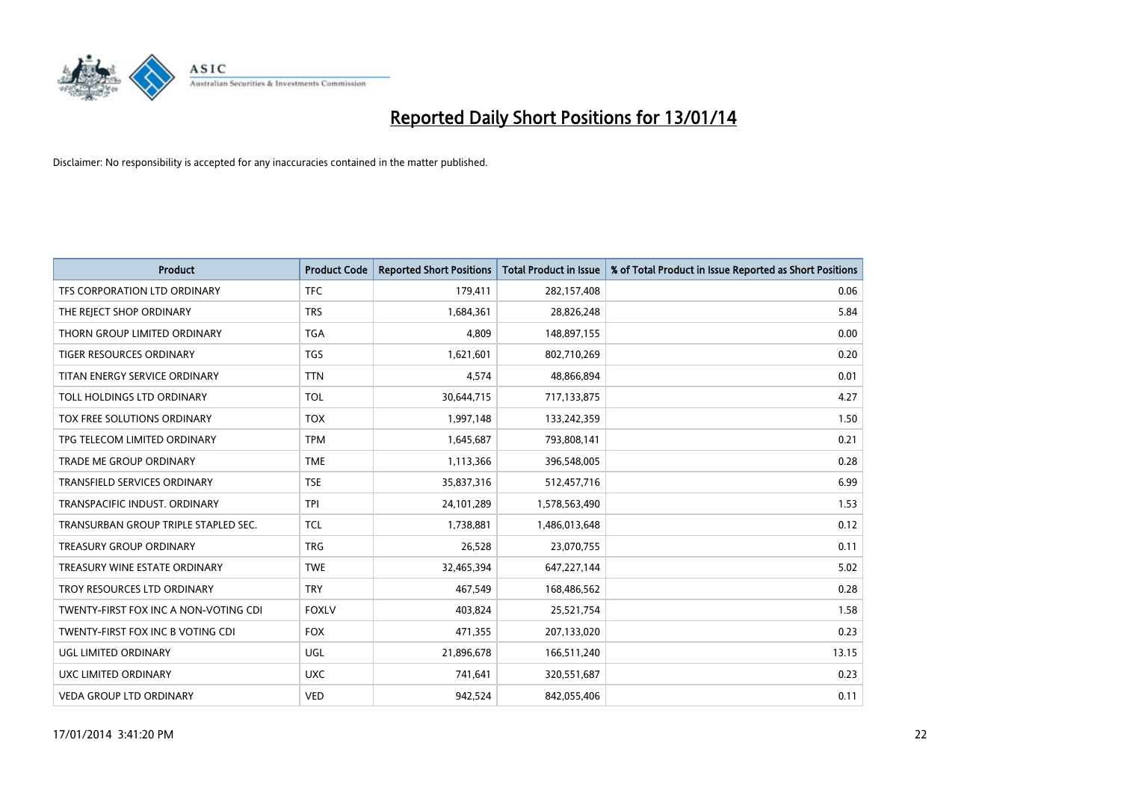

| <b>Product</b>                        | <b>Product Code</b> | <b>Reported Short Positions</b> | <b>Total Product in Issue</b> | % of Total Product in Issue Reported as Short Positions |
|---------------------------------------|---------------------|---------------------------------|-------------------------------|---------------------------------------------------------|
| TFS CORPORATION LTD ORDINARY          | <b>TFC</b>          | 179,411                         | 282,157,408                   | 0.06                                                    |
| THE REJECT SHOP ORDINARY              | <b>TRS</b>          | 1,684,361                       | 28,826,248                    | 5.84                                                    |
| THORN GROUP LIMITED ORDINARY          | <b>TGA</b>          | 4,809                           | 148,897,155                   | 0.00                                                    |
| <b>TIGER RESOURCES ORDINARY</b>       | <b>TGS</b>          | 1,621,601                       | 802,710,269                   | 0.20                                                    |
| TITAN ENERGY SERVICE ORDINARY         | <b>TTN</b>          | 4,574                           | 48,866,894                    | 0.01                                                    |
| TOLL HOLDINGS LTD ORDINARY            | <b>TOL</b>          | 30,644,715                      | 717,133,875                   | 4.27                                                    |
| TOX FREE SOLUTIONS ORDINARY           | <b>TOX</b>          | 1,997,148                       | 133,242,359                   | 1.50                                                    |
| TPG TELECOM LIMITED ORDINARY          | <b>TPM</b>          | 1,645,687                       | 793,808,141                   | 0.21                                                    |
| <b>TRADE ME GROUP ORDINARY</b>        | <b>TME</b>          | 1,113,366                       | 396,548,005                   | 0.28                                                    |
| <b>TRANSFIELD SERVICES ORDINARY</b>   | <b>TSE</b>          | 35,837,316                      | 512,457,716                   | 6.99                                                    |
| TRANSPACIFIC INDUST. ORDINARY         | <b>TPI</b>          | 24,101,289                      | 1,578,563,490                 | 1.53                                                    |
| TRANSURBAN GROUP TRIPLE STAPLED SEC.  | <b>TCL</b>          | 1,738,881                       | 1,486,013,648                 | 0.12                                                    |
| TREASURY GROUP ORDINARY               | <b>TRG</b>          | 26,528                          | 23,070,755                    | 0.11                                                    |
| TREASURY WINE ESTATE ORDINARY         | <b>TWE</b>          | 32,465,394                      | 647,227,144                   | 5.02                                                    |
| TROY RESOURCES LTD ORDINARY           | <b>TRY</b>          | 467,549                         | 168,486,562                   | 0.28                                                    |
| TWENTY-FIRST FOX INC A NON-VOTING CDI | <b>FOXLV</b>        | 403,824                         | 25,521,754                    | 1.58                                                    |
| TWENTY-FIRST FOX INC B VOTING CDI     | <b>FOX</b>          | 471,355                         | 207,133,020                   | 0.23                                                    |
| <b>UGL LIMITED ORDINARY</b>           | UGL                 | 21,896,678                      | 166,511,240                   | 13.15                                                   |
| <b>UXC LIMITED ORDINARY</b>           | <b>UXC</b>          | 741,641                         | 320,551,687                   | 0.23                                                    |
| <b>VEDA GROUP LTD ORDINARY</b>        | <b>VED</b>          | 942,524                         | 842,055,406                   | 0.11                                                    |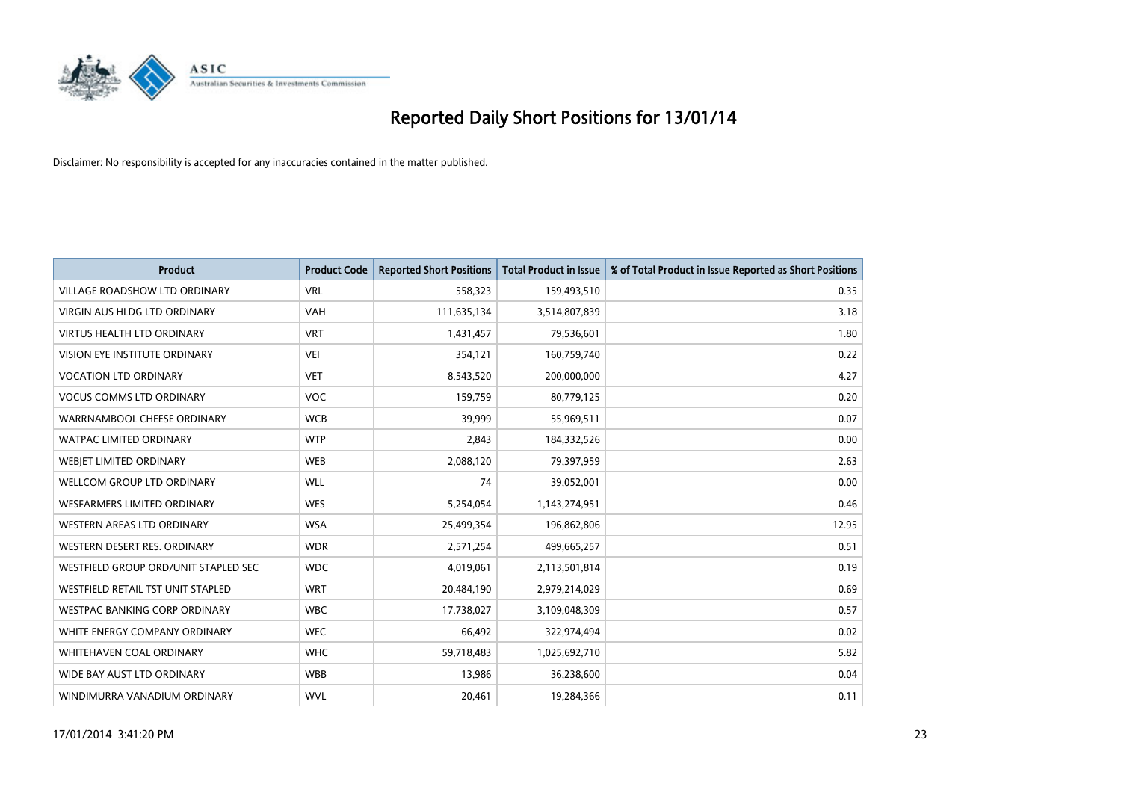

| <b>Product</b>                       | <b>Product Code</b> | <b>Reported Short Positions</b> | <b>Total Product in Issue</b> | % of Total Product in Issue Reported as Short Positions |
|--------------------------------------|---------------------|---------------------------------|-------------------------------|---------------------------------------------------------|
| <b>VILLAGE ROADSHOW LTD ORDINARY</b> | <b>VRL</b>          | 558,323                         | 159,493,510                   | 0.35                                                    |
| <b>VIRGIN AUS HLDG LTD ORDINARY</b>  | <b>VAH</b>          | 111,635,134                     | 3,514,807,839                 | 3.18                                                    |
| <b>VIRTUS HEALTH LTD ORDINARY</b>    | <b>VRT</b>          | 1,431,457                       | 79,536,601                    | 1.80                                                    |
| VISION EYE INSTITUTE ORDINARY        | <b>VEI</b>          | 354,121                         | 160,759,740                   | 0.22                                                    |
| <b>VOCATION LTD ORDINARY</b>         | <b>VET</b>          | 8,543,520                       | 200,000,000                   | 4.27                                                    |
| <b>VOCUS COMMS LTD ORDINARY</b>      | <b>VOC</b>          | 159,759                         | 80,779,125                    | 0.20                                                    |
| WARRNAMBOOL CHEESE ORDINARY          | <b>WCB</b>          | 39.999                          | 55,969,511                    | 0.07                                                    |
| <b>WATPAC LIMITED ORDINARY</b>       | <b>WTP</b>          | 2,843                           | 184,332,526                   | 0.00                                                    |
| WEBIET LIMITED ORDINARY              | <b>WEB</b>          | 2,088,120                       | 79,397,959                    | 2.63                                                    |
| <b>WELLCOM GROUP LTD ORDINARY</b>    | WLL                 | 74                              | 39,052,001                    | 0.00                                                    |
| WESFARMERS LIMITED ORDINARY          | <b>WES</b>          | 5,254,054                       | 1,143,274,951                 | 0.46                                                    |
| <b>WESTERN AREAS LTD ORDINARY</b>    | <b>WSA</b>          | 25,499,354                      | 196,862,806                   | 12.95                                                   |
| WESTERN DESERT RES. ORDINARY         | <b>WDR</b>          | 2,571,254                       | 499,665,257                   | 0.51                                                    |
| WESTFIELD GROUP ORD/UNIT STAPLED SEC | <b>WDC</b>          | 4,019,061                       | 2,113,501,814                 | 0.19                                                    |
| WESTFIELD RETAIL TST UNIT STAPLED    | <b>WRT</b>          | 20,484,190                      | 2,979,214,029                 | 0.69                                                    |
| <b>WESTPAC BANKING CORP ORDINARY</b> | <b>WBC</b>          | 17,738,027                      | 3,109,048,309                 | 0.57                                                    |
| WHITE ENERGY COMPANY ORDINARY        | <b>WEC</b>          | 66,492                          | 322,974,494                   | 0.02                                                    |
| <b>WHITEHAVEN COAL ORDINARY</b>      | <b>WHC</b>          | 59,718,483                      | 1,025,692,710                 | 5.82                                                    |
| WIDE BAY AUST LTD ORDINARY           | <b>WBB</b>          | 13,986                          | 36,238,600                    | 0.04                                                    |
| WINDIMURRA VANADIUM ORDINARY         | <b>WVL</b>          | 20,461                          | 19,284,366                    | 0.11                                                    |